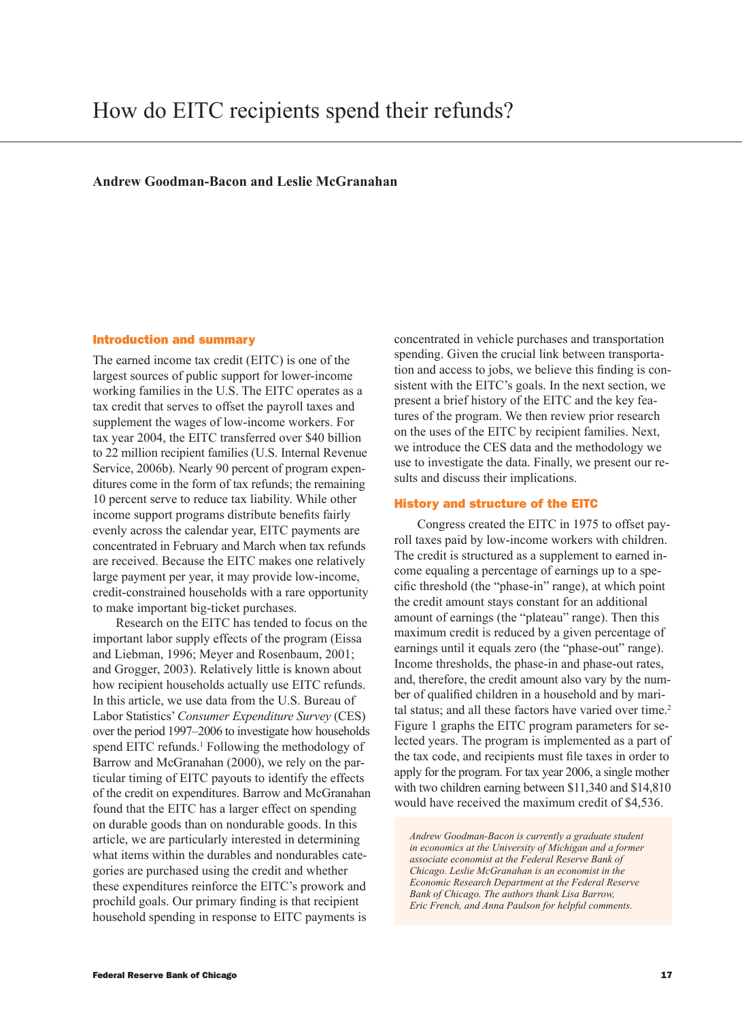# **Andrew Goodman-Bacon and Leslie McGranahan**

### Introduction and summary

The earned income tax credit (EITC) is one of the largest sources of public support for lower-income working families in the U.S. The EITC operates as a tax credit that serves to offset the payroll taxes and supplement the wages of low-income workers. For tax year 2004, the EITC transferred over \$40 billion to 22 million recipient families (U.S. Internal Revenue Service, 2006b). Nearly 90 percent of program expenditures come in the form of tax refunds; the remaining 10 percent serve to reduce tax liability. While other income support programs distribute benefits fairly evenly across the calendar year, EITC payments are concentrated in February and March when tax refunds are received. Because the EITC makes one relatively large payment per year, it may provide low-income, credit-constrained households with a rare opportunity to make important big-ticket purchases.

Research on the EITC has tended to focus on the important labor supply effects of the program (Eissa and Liebman, 1996; Meyer and Rosenbaum, 2001; and Grogger, 2003). Relatively little is known about how recipient households actually use EITC refunds. In this article, we use data from the U.S. Bureau of Labor Statistics' *Consumer Expenditure Survey* (CES) over the period 1997–2006 to investigate how households spend EITC refunds.<sup>1</sup> Following the methodology of Barrow and McGranahan (2000), we rely on the particular timing of EITC payouts to identify the effects of the credit on expenditures. Barrow and McGranahan found that the EITC has a larger effect on spending on durable goods than on nondurable goods. In this article, we are particularly interested in determining what items within the durables and nondurables categories are purchased using the credit and whether these expenditures reinforce the EITC's prowork and prochild goals. Our primary finding is that recipient household spending in response to EITC payments is

concentrated in vehicle purchases and transportation spending. Given the crucial link between transportation and access to jobs, we believe this finding is consistent with the EITC's goals. In the next section, we present a brief history of the EITC and the key features of the program. We then review prior research on the uses of the EITC by recipient families. Next, we introduce the CES data and the methodology we use to investigate the data. Finally, we present our results and discuss their implications.

## History and structure of the EITC

Congress created the EITC in 1975 to offset payroll taxes paid by low-income workers with children. The credit is structured as a supplement to earned income equaling a percentage of earnings up to a specific threshold (the "phase-in" range), at which point the credit amount stays constant for an additional amount of earnings (the "plateau" range). Then this maximum credit is reduced by a given percentage of earnings until it equals zero (the "phase-out" range). Income thresholds, the phase-in and phase-out rates, and, therefore, the credit amount also vary by the number of qualified children in a household and by marital status; and all these factors have varied over time.<sup>2</sup> Figure 1 graphs the EITC program parameters for selected years. The program is implemented as a part of the tax code, and recipients must file taxes in order to apply for the program. For tax year 2006, a single mother with two children earning between \$11,340 and \$14,810 would have received the maximum credit of \$4,536.

*Andrew Goodman-Bacon is currently a graduate student in economics at the University of Michigan and a former associate economist at the Federal Reserve Bank of Chicago. Leslie McGranahan is an economist in the Economic Research Department at the Federal Reserve Bank of Chicago. The authors thank Lisa Barrow, Eric French, and Anna Paulson for helpful comments.*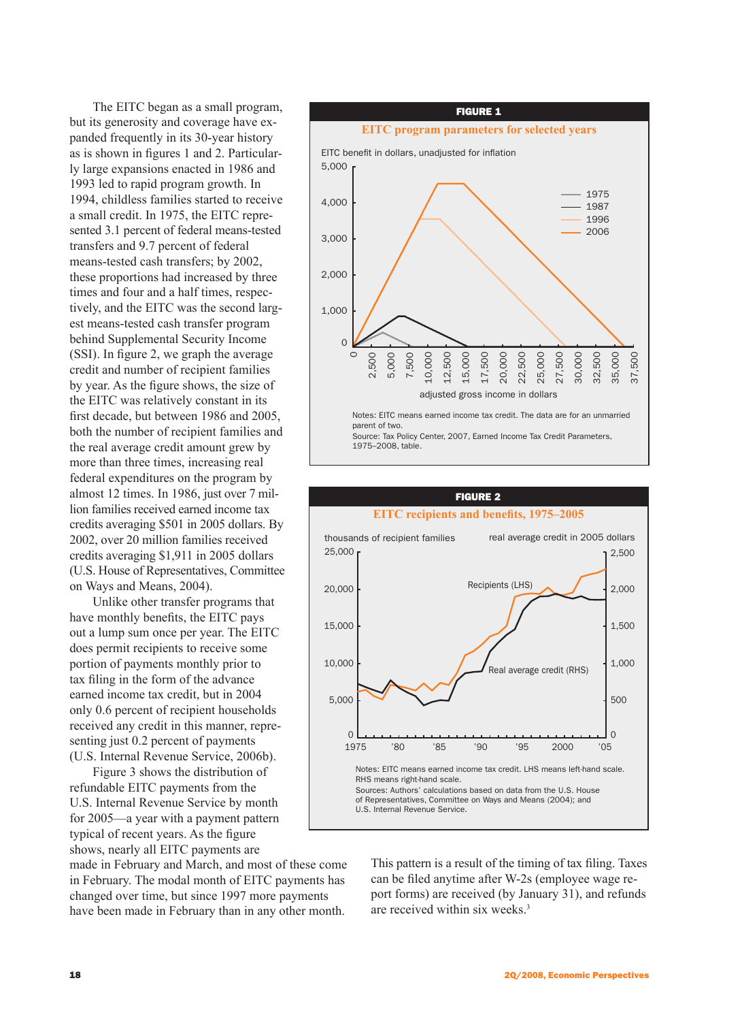The EITC began as a small program, but its generosity and coverage have expanded frequently in its 30-year history as is shown in figures 1 and 2. Particularly large expansions enacted in 1986 and 1993 led to rapid program growth. In 1994, childless families started to receive a small credit. In 1975, the EITC represented 3.1 percent of federal means-tested transfers and 9.7 percent of federal means-tested cash transfers; by 2002, these proportions had increased by three times and four and a half times, respectively, and the EITC was the second largest means-tested cash transfer program behind Supplemental Security Income (SSI). In figure 2, we graph the average credit and number of recipient families by year. As the figure shows, the size of the EITC was relatively constant in its first decade, but between 1986 and 2005, both the number of recipient families and the real average credit amount grew by more than three times, increasing real federal expenditures on the program by almost 12 times. In 1986, just over 7 million families received earned income tax credits averaging \$501 in 2005 dollars. By 2002, over 20 million families received credits averaging \$1,911 in 2005 dollars (U.S. House of Representatives, Committee on Ways and Means, 2004).

Unlike other transfer programs that have monthly benefits, the EITC pays out a lump sum once per year. The EITC does permit recipients to receive some portion of payments monthly prior to tax filing in the form of the advance earned income tax credit, but in 2004 only 0.6 percent of recipient households received any credit in this manner, representing just 0.2 percent of payments (U.S. Internal Revenue Service, 2006b).

Figure 3 shows the distribution of refundable EITC payments from the U.S. Internal Revenue Service by month for 2005—a year with a payment pattern typical of recent years. As the figure shows, nearly all EITC payments are

made in February and March, and most of these come in February. The modal month of EITC payments has changed over time, but since 1997 more payments have been made in February than in any other month.

#### figure 1 **EITC program parameters for selected years** EITC benefit in dollars, unadjusted for inflation Notes: EITC means earned income tax credit. The data are for an unmarried parent of two. Source: Tax Policy Center, 2007, Earned Income Tax Credit Parameters, 1975–2008, table.  $\circ$ 2,500 5,000 7,500 10,000 12,500 15,000 17,500 20,000 22,500 25,000 27,500 30,000 32,500 35,000 37,500 0 1,000 2,000 3,000 4,000 5,000 1975 1987 1996 2006 adjusted gross income in dollars



This pattern is a result of the timing of tax filing. Taxes can be filed anytime after W-2s (employee wage report forms) are received (by January 31), and refunds are received within six weeks.3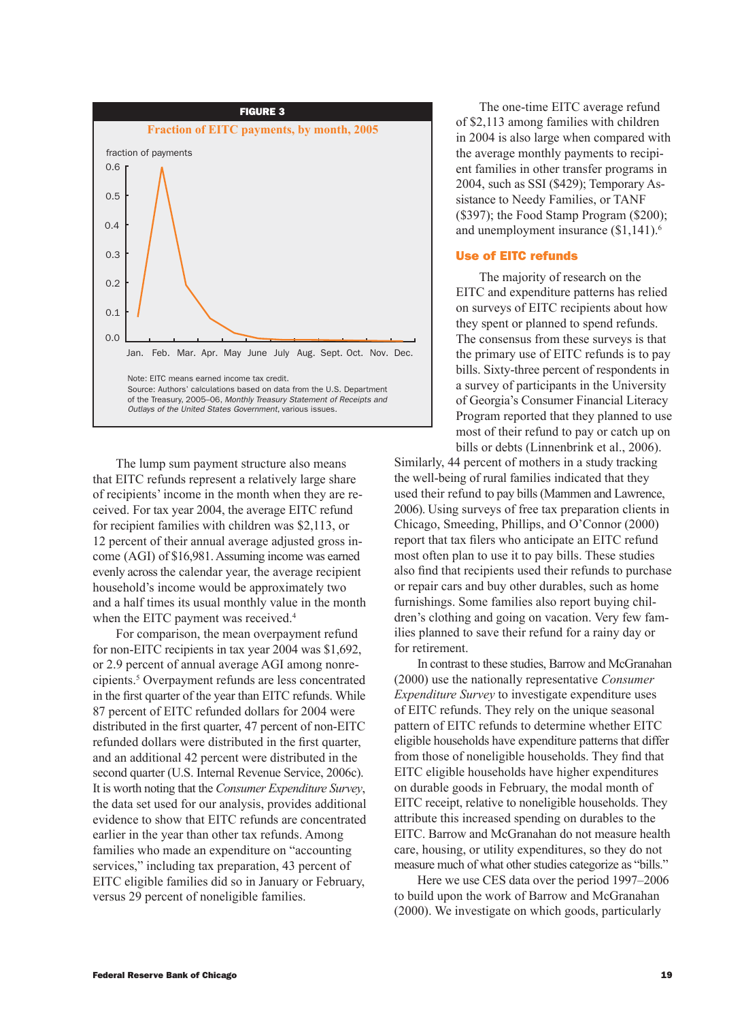

The lump sum payment structure also means that EITC refunds represent a relatively large share of recipients' income in the month when they are received. For tax year 2004, the average EITC refund for recipient families with children was \$2,113, or 12 percent of their annual average adjusted gross income (AGI) of \$16,981. Assuming income was earned evenly across the calendar year, the average recipient household's income would be approximately two and a half times its usual monthly value in the month when the EITC payment was received.<sup>4</sup>

For comparison, the mean overpayment refund for non-EITC recipients in tax year 2004 was \$1,692, or 2.9 percent of annual average AGI among nonrecipients.5 Overpayment refunds are less concentrated in the first quarter of the year than EITC refunds. While 87 percent of EITC refunded dollars for 2004 were distributed in the first quarter, 47 percent of non-EITC refunded dollars were distributed in the first quarter, and an additional 42 percent were distributed in the second quarter (U.S. Internal Revenue Service, 2006c). It is worth noting that the *Consumer Expenditure Survey*, the data set used for our analysis, provides additional evidence to show that EITC refunds are concentrated earlier in the year than other tax refunds. Among families who made an expenditure on "accounting services," including tax preparation, 43 percent of EITC eligible families did so in January or February, versus 29 percent of noneligible families.

The one-time EITC average refund of \$2,113 among families with children in 2004 is also large when compared with the average monthly payments to recipient families in other transfer programs in 2004, such as SSI (\$429); Temporary Assistance to Needy Families, or TANF  $(\$397)$ ; the Food Stamp Program  $(\$200)$ ; and unemployment insurance  $(\$1,141)$ .<sup>6</sup>

# Use of EITC refunds

The majority of research on the EITC and expenditure patterns has relied on surveys of EITC recipients about how they spent or planned to spend refunds. The consensus from these surveys is that the primary use of EITC refunds is to pay bills. Sixty-three percent of respondents in a survey of participants in the University of Georgia's Consumer Financial Literacy Program reported that they planned to use most of their refund to pay or catch up on bills or debts (Linnenbrink et al., 2006).

Similarly, 44 percent of mothers in a study tracking the well-being of rural families indicated that they used their refund to pay bills (Mammen and Lawrence, 2006). Using surveys of free tax preparation clients in Chicago, Smeeding, Phillips, and O'Connor (2000) report that tax filers who anticipate an EITC refund most often plan to use it to pay bills. These studies also find that recipients used their refunds to purchase or repair cars and buy other durables, such as home furnishings. Some families also report buying children's clothing and going on vacation. Very few families planned to save their refund for a rainy day or for retirement.

In contrast to these studies, Barrow and McGranahan (2000) use the nationally representative *Consumer Expenditure Survey* to investigate expenditure uses of EITC refunds. They rely on the unique seasonal pattern of EITC refunds to determine whether EITC eligible households have expenditure patterns that differ from those of noneligible households. They find that EITC eligible households have higher expenditures on durable goods in February, the modal month of EITC receipt, relative to noneligible households. They attribute this increased spending on durables to the EITC. Barrow and McGranahan do not measure health care, housing, or utility expenditures, so they do not measure much of what other studies categorize as "bills."

Here we use CES data over the period 1997–2006 to build upon the work of Barrow and McGranahan (2000). We investigate on which goods, particularly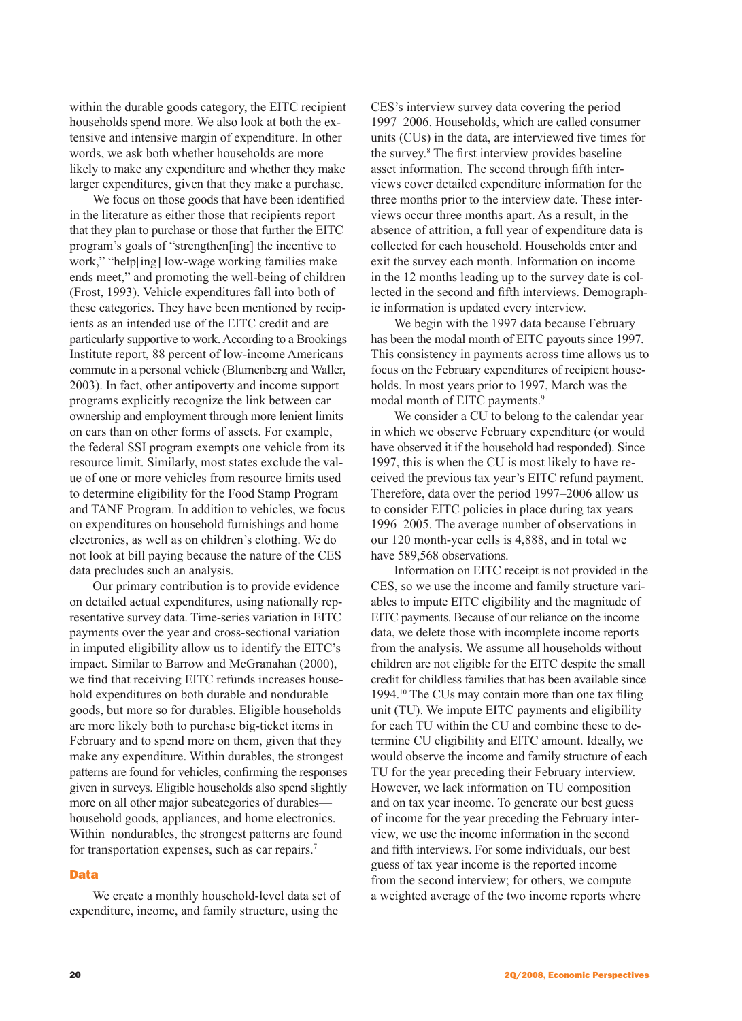within the durable goods category, the EITC recipient households spend more. We also look at both the extensive and intensive margin of expenditure. In other words, we ask both whether households are more likely to make any expenditure and whether they make larger expenditures, given that they make a purchase.

We focus on those goods that have been identified in the literature as either those that recipients report that they plan to purchase or those that further the EITC program's goals of "strengthen[ing] the incentive to work," "help[ing] low-wage working families make ends meet," and promoting the well-being of children (Frost, 1993). Vehicle expenditures fall into both of these categories. They have been mentioned by recipients as an intended use of the EITC credit and are particularly supportive to work. According to a Brookings Institute report, 88 percent of low-income Americans commute in a personal vehicle (Blumenberg and Waller, 2003). In fact, other antipoverty and income support programs explicitly recognize the link between car ownership and employment through more lenient limits on cars than on other forms of assets. For example, the federal SSI program exempts one vehicle from its resource limit. Similarly, most states exclude the value of one or more vehicles from resource limits used to determine eligibility for the Food Stamp Program and TANF Program. In addition to vehicles, we focus on expenditures on household furnishings and home electronics, as well as on children's clothing. We do not look at bill paying because the nature of the CES data precludes such an analysis.

Our primary contribution is to provide evidence on detailed actual expenditures, using nationally representative survey data. Time-series variation in EITC payments over the year and cross-sectional variation in imputed eligibility allow us to identify the EITC's impact. Similar to Barrow and McGranahan (2000), we find that receiving EITC refunds increases household expenditures on both durable and nondurable goods, but more so for durables. Eligible households are more likely both to purchase big-ticket items in February and to spend more on them, given that they make any expenditure. Within durables, the strongest patterns are found for vehicles, confirming the responses given in surveys. Eligible households also spend slightly more on all other major subcategories of durables household goods, appliances, and home electronics. Within nondurables, the strongest patterns are found for transportation expenses, such as car repairs.<sup>7</sup>

### **Data**

We create a monthly household-level data set of expenditure, income, and family structure, using the

CES's interview survey data covering the period 1997–2006. Households, which are called consumer units (CUs) in the data, are interviewed five times for the survey.8 The first interview provides baseline asset information. The second through fifth interviews cover detailed expenditure information for the three months prior to the interview date. These interviews occur three months apart. As a result, in the absence of attrition, a full year of expenditure data is collected for each household. Households enter and exit the survey each month. Information on income in the 12 months leading up to the survey date is collected in the second and fifth interviews. Demographic information is updated every interview.

We begin with the 1997 data because February has been the modal month of EITC payouts since 1997. This consistency in payments across time allows us to focus on the February expenditures of recipient households. In most years prior to 1997, March was the modal month of EITC payments.<sup>9</sup>

We consider a CU to belong to the calendar year in which we observe February expenditure (or would have observed it if the household had responded). Since 1997, this is when the CU is most likely to have received the previous tax year's EITC refund payment. Therefore, data over the period 1997–2006 allow us to consider EITC policies in place during tax years 1996–2005. The average number of observations in our 120 month-year cells is 4,888, and in total we have 589,568 observations.

Information on EITC receipt is not provided in the CES, so we use the income and family structure variables to impute EITC eligibility and the magnitude of EITC payments. Because of our reliance on the income data, we delete those with incomplete income reports from the analysis. We assume all households without children are not eligible for the EITC despite the small credit for childless families that has been available since 1994.10 The CUs may contain more than one tax filing unit (TU). We impute EITC payments and eligibility for each TU within the CU and combine these to determine CU eligibility and EITC amount. Ideally, we would observe the income and family structure of each TU for the year preceding their February interview. However, we lack information on TU composition and on tax year income. To generate our best guess of income for the year preceding the February interview, we use the income information in the second and fifth interviews. For some individuals, our best guess of tax year income is the reported income from the second interview; for others, we compute a weighted average of the two income reports where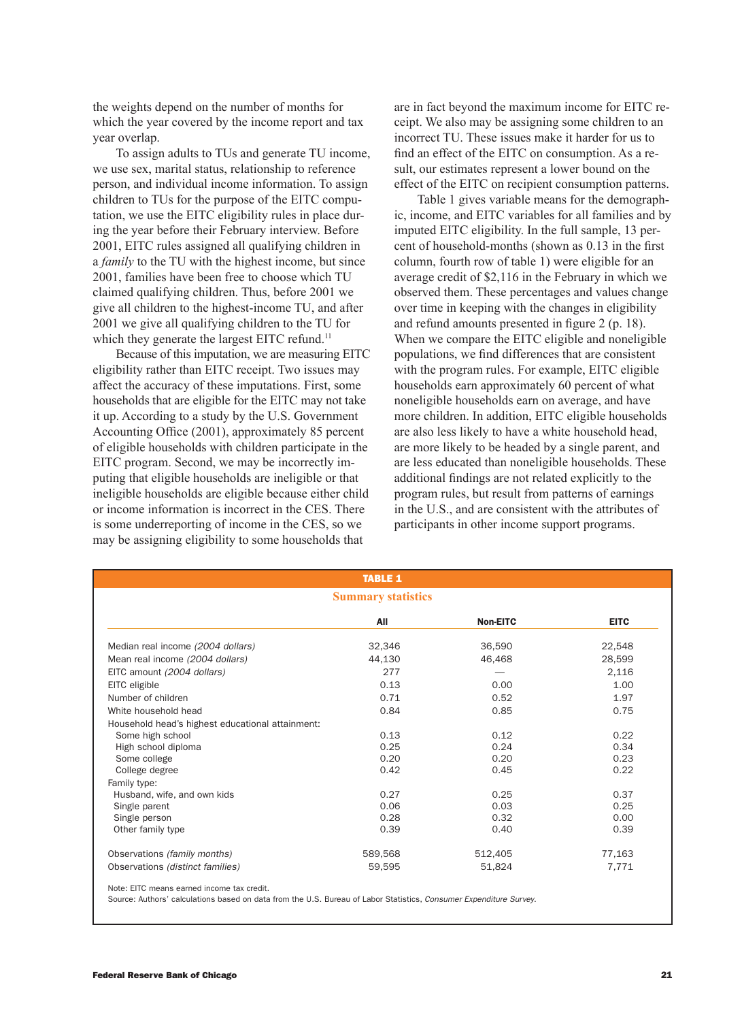the weights depend on the number of months for which the year covered by the income report and tax year overlap.

To assign adults to TUs and generate TU income, we use sex, marital status, relationship to reference person, and individual income information. To assign children to TUs for the purpose of the EITC computation, we use the EITC eligibility rules in place during the year before their February interview. Before 2001, EITC rules assigned all qualifying children in a *family* to the TU with the highest income, but since 2001, families have been free to choose which TU claimed qualifying children. Thus, before 2001 we give all children to the highest-income TU, and after 2001 we give all qualifying children to the TU for which they generate the largest EITC refund.<sup>11</sup>

Because of this imputation, we are measuring EITC eligibility rather than EITC receipt. Two issues may affect the accuracy of these imputations. First, some households that are eligible for the EITC may not take it up. According to a study by the U.S. Government Accounting Office (2001), approximately 85 percent of eligible households with children participate in the EITC program. Second, we may be incorrectly imputing that eligible households are ineligible or that ineligible households are eligible because either child or income information is incorrect in the CES. There is some underreporting of income in the CES, so we may be assigning eligibility to some households that

are in fact beyond the maximum income for EITC receipt. We also may be assigning some children to an incorrect TU. These issues make it harder for us to find an effect of the EITC on consumption. As a result, our estimates represent a lower bound on the effect of the EITC on recipient consumption patterns.

Table 1 gives variable means for the demographic, income, and EITC variables for all families and by imputed EITC eligibility. In the full sample, 13 percent of household-months (shown as 0.13 in the first column, fourth row of table 1) were eligible for an average credit of \$2,116 in the February in which we observed them. These percentages and values change over time in keeping with the changes in eligibility and refund amounts presented in figure 2 (p. 18). When we compare the EITC eligible and noneligible populations, we find differences that are consistent with the program rules. For example, EITC eligible households earn approximately 60 percent of what noneligible households earn on average, and have more children. In addition, EITC eligible households are also less likely to have a white household head, are more likely to be headed by a single parent, and are less educated than noneligible households. These additional findings are not related explicitly to the program rules, but result from patterns of earnings in the U.S., and are consistent with the attributes of participants in other income support programs.

|                                                  | <b>TABLE 1</b>            |          |             |
|--------------------------------------------------|---------------------------|----------|-------------|
|                                                  | <b>Summary statistics</b> |          |             |
|                                                  | All                       | Non-EITC | <b>EITC</b> |
| Median real income (2004 dollars)                | 32,346                    | 36,590   | 22,548      |
| Mean real income (2004 dollars)                  | 44,130                    | 46,468   | 28,599      |
| EITC amount (2004 dollars)                       | 277                       |          | 2,116       |
| EITC eligible                                    | 0.13                      | 0.00     | 1.00        |
| Number of children                               | 0.71                      | 0.52     | 1.97        |
| White household head                             | 0.84                      | 0.85     | 0.75        |
| Household head's highest educational attainment: |                           |          |             |
| Some high school                                 | 0.13                      | 0.12     | 0.22        |
| High school diploma                              | 0.25                      | 0.24     | 0.34        |
| Some college                                     | 0.20                      | 0.20     | 0.23        |
| College degree                                   | 0.42                      | 0.45     | 0.22        |
| Family type:                                     |                           |          |             |
| Husband, wife, and own kids                      | 0.27                      | 0.25     | 0.37        |
| Single parent                                    | 0.06                      | 0.03     | 0.25        |
| Single person                                    | 0.28                      | 0.32     | 0.00        |
| Other family type                                | 0.39                      | 0.40     | 0.39        |
| Observations (family months)                     | 589,568                   | 512,405  | 77,163      |
| Observations (distinct families)                 | 59,595                    | 51,824   | 7,771       |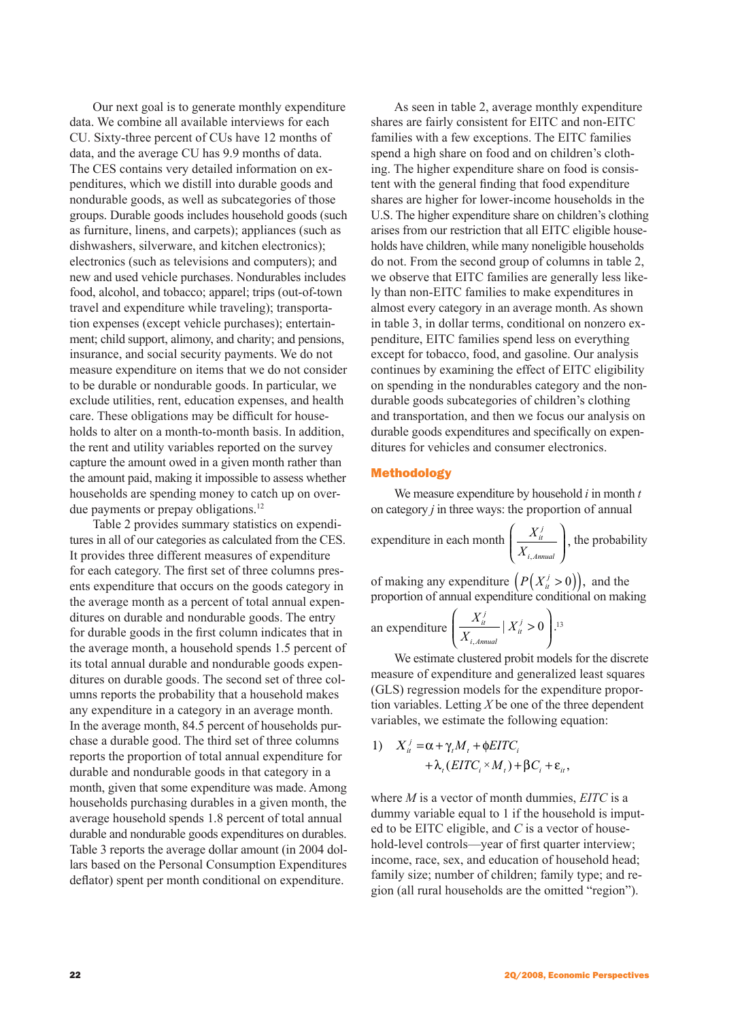Our next goal is to generate monthly expenditure data. We combine all available interviews for each CU. Sixty-three percent of CUs have 12 months of data, and the average CU has 9.9 months of data. The CES contains very detailed information on expenditures, which we distill into durable goods and nondurable goods, as well as subcategories of those groups. Durable goods includes household goods (such as furniture, linens, and carpets); appliances (such as dishwashers, silverware, and kitchen electronics); electronics (such as televisions and computers); and new and used vehicle purchases. Nondurables includes food, alcohol, and tobacco; apparel; trips (out-of-town travel and expenditure while traveling); transportation expenses (except vehicle purchases); entertainment; child support, alimony, and charity; and pensions, insurance, and social security payments. We do not measure expenditure on items that we do not consider to be durable or nondurable goods. In particular, we exclude utilities, rent, education expenses, and health care. These obligations may be difficult for households to alter on a month-to-month basis. In addition, the rent and utility variables reported on the survey capture the amount owed in a given month rather than the amount paid, making it impossible to assess whether households are spending money to catch up on overdue payments or prepay obligations.<sup>12</sup>

Table 2 provides summary statistics on expenditures in all of our categories as calculated from the CES. It provides three different measures of expenditure for each category. The first set of three columns presents expenditure that occurs on the goods category in the average month as a percent of total annual expenditures on durable and nondurable goods. The entry for durable goods in the first column indicates that in the average month, a household spends 1.5 percent of its total annual durable and nondurable goods expenditures on durable goods. The second set of three columns reports the probability that a household makes any expenditure in a category in an average month. In the average month, 84.5 percent of households purchase a durable good. The third set of three columns reports the proportion of total annual expenditure for durable and nondurable goods in that category in a month, given that some expenditure was made. Among households purchasing durables in a given month, the average household spends 1.8 percent of total annual durable and nondurable goods expenditures on durables. Table 3 reports the average dollar amount (in 2004 dollars based on the Personal Consumption Expenditures deflator) spent per month conditional on expenditure.

As seen in table 2, average monthly expenditure shares are fairly consistent for EITC and non-EITC families with a few exceptions. The EITC families spend a high share on food and on children's clothing. The higher expenditure share on food is consistent with the general finding that food expenditure shares are higher for lower-income households in the U.S. The higher expenditure share on children's clothing arises from our restriction that all EITC eligible households have children, while many noneligible households do not. From the second group of columns in table 2, we observe that EITC families are generally less likely than non-EITC families to make expenditures in almost every category in an average month. As shown in table 3, in dollar terms, conditional on nonzero expenditure, EITC families spend less on everything except for tobacco, food, and gasoline. Our analysis continues by examining the effect of EITC eligibility on spending in the nondurables category and the nondurable goods subcategories of children's clothing and transportation, and then we focus our analysis on durable goods expenditures and specifically on expenditures for vehicles and consumer electronics.

### Methodology

We measure expenditure by household *i* in month *t*  on category *j* in three ways: the proportion of annual

expenditure in each month  $\begin{array}{c} X \end{array}$ *X it j i A*, *nnual*  $\left(\frac{X_{it}^j}{X_{it}}\right),$ l I Ì  $\overline{\phantom{a}}$ , the probability

of making any expenditure  $\left(P(X_i^j > 0)\right)$ , and the proportion of annual expenditure conditional on making

an expenditure 
$$
\left(\frac{X_{it}^j}{X_{i,Annual}} | X_{it}^j > 0\right)
$$
.<sup>13</sup>

We estimate clustered probit models for the discrete measure of expenditure and generalized least squares (GLS) regression models for the expenditure proportion variables. Letting *X* be one of the three dependent variables, we estimate the following equation:

1) 
$$
X_{ii}^{j} = \alpha + \gamma_{t}M_{t} + \phi EITC_{i} + \lambda_{t} (EITC_{i} \times M_{t}) + \beta C_{i} + \varepsilon_{it},
$$

where *M* is a vector of month dummies, *EITC* is a dummy variable equal to 1 if the household is imputed to be EITC eligible, and *C* is a vector of household-level controls—year of first quarter interview; income, race, sex, and education of household head; family size; number of children; family type; and region (all rural households are the omitted "region").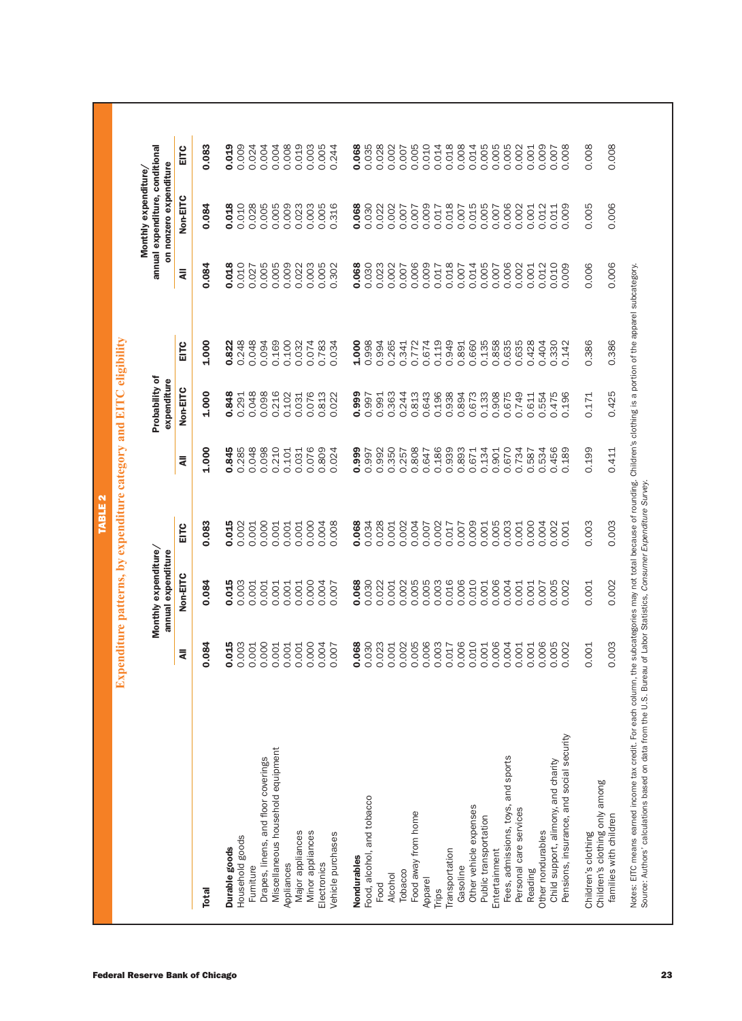| 0.018<br>0.010<br>0.028<br>0.005<br>0.005<br>0.009<br>0.023<br>0.003<br>0.005<br>0.018<br>0.015<br>0.005<br>0.084<br>0.316<br>0.068<br>0.030<br>0.022<br>0.002<br>0.009<br>0.017<br>0.007<br>0.007<br>0.007<br>0.007<br>0.084<br>0.018<br>0.010<br>0.009<br>0.003<br>0.005<br>0.068<br>0.030<br>0.006<br>0.018<br>0.005<br>0.005<br>0.005<br>0.022<br>0.023<br>0.002<br>0.009<br>0.014<br>0.302<br>0.007<br>0.007<br>0.017<br>0.007<br>0.027<br>₹<br>1.000<br>0.248<br>0.048<br>0.169<br>0.074<br>1.000<br>0.998<br>0.994<br>0.265<br>0.949<br>0.660<br>0.135<br>0.858<br>0.822<br>0.094<br>0.100<br>0.032<br>0.783<br>0.772<br>0.674<br>0.119<br>EITC<br>0.034<br>0.341<br>0.891<br>Non-EITC<br>1.000<br>0.196<br>0.848<br>0.048<br>0.098<br>0.216<br>0.102<br>0.076<br>0.813<br>0.022<br>0.999<br>0.363<br>0.244<br>0.813<br>0.643<br>0.938<br>0.894<br>0.673<br>0.133<br>0.908<br>0.291<br>0.031<br>0.997<br>0.991<br>1.000<br>0.285<br>0.048<br>0.098<br>0.210<br>0.076<br>0.809<br>0.350<br>0.808<br>0.186<br>0.939<br>0.893<br>0.845<br>0.024<br>0.999<br>0.992<br>0.257<br>0.671<br>0.134<br>0.101<br>0.031<br>0.997<br>0.647<br>0.901<br>₹<br>0.000<br>0.000<br>0.028<br>0.009<br>0.005<br>0.083<br>0.015<br>0.004<br>0.008<br>0.034<br>0.002<br>0.004<br>0.017<br>0.001<br>0.002<br>0.001<br>0.001<br>0.001<br>0.001<br>0.068<br>0.007<br>0.002<br>0.007<br>0.001<br>EITC<br>Non-EITC<br>0.084<br>0.015<br>0.003<br>0.068<br>0.030<br>0.005<br>0.003<br>0.016<br>0.006<br>0.010<br>0.006<br>0.000<br>0.002<br>0.005<br>0.001<br>0.001<br>0.001<br>0.001<br>0.001<br>0.004<br>0.022<br>0.001<br>0.001<br>0.007<br>0.084<br>0.015<br>0.003<br>0.068<br>0.030<br>0.005<br>0.003<br>0.006<br>0.010<br>0.006<br>0.000<br>0.000<br>0.004<br>0.023<br>0.002<br>0.006<br>0.001<br>0.001<br>0.001<br>0.001<br>0.001<br>0.017<br>0.001<br>0.007<br>₹<br>Miscellaneous household equipment<br>Drapes, linens, and floor coverings<br>Food, alcohol, and tobacco<br>Other vehicle expenses<br>Food away from home<br>Public transportation<br>Major appliances<br>Minor appliances<br>Vehicle purchases<br>Household goods<br>Durable goods<br>Transportation<br>Entertainment<br>Nondurables<br>Electronics<br>Appliances<br>Furniture<br>Gasoline<br>Tobacco<br>Alcohol<br>Apparel<br>Food<br><b>Trips</b><br>Total |                        |       | Monthly expenditure/<br>annual expenditure |       |       | Probability of<br>expenditure |       |       | annual expenditure, conditional<br>on nonzero expenditure<br>Monthly expenditure/ |       |
|--------------------------------------------------------------------------------------------------------------------------------------------------------------------------------------------------------------------------------------------------------------------------------------------------------------------------------------------------------------------------------------------------------------------------------------------------------------------------------------------------------------------------------------------------------------------------------------------------------------------------------------------------------------------------------------------------------------------------------------------------------------------------------------------------------------------------------------------------------------------------------------------------------------------------------------------------------------------------------------------------------------------------------------------------------------------------------------------------------------------------------------------------------------------------------------------------------------------------------------------------------------------------------------------------------------------------------------------------------------------------------------------------------------------------------------------------------------------------------------------------------------------------------------------------------------------------------------------------------------------------------------------------------------------------------------------------------------------------------------------------------------------------------------------------------------------------------------------------------------------------------------------------------------------------------------------------------------------------------------------------------------------------------------------------------------------------------------------------------------------------------------------------------------------------------------------------------------------------------------------------------------------------------------------------------------------|------------------------|-------|--------------------------------------------|-------|-------|-------------------------------|-------|-------|-----------------------------------------------------------------------------------|-------|
|                                                                                                                                                                                                                                                                                                                                                                                                                                                                                                                                                                                                                                                                                                                                                                                                                                                                                                                                                                                                                                                                                                                                                                                                                                                                                                                                                                                                                                                                                                                                                                                                                                                                                                                                                                                                                                                                                                                                                                                                                                                                                                                                                                                                                                                                                                                    |                        |       |                                            |       |       |                               |       |       | <b>Non-EITC</b>                                                                   | EITC  |
|                                                                                                                                                                                                                                                                                                                                                                                                                                                                                                                                                                                                                                                                                                                                                                                                                                                                                                                                                                                                                                                                                                                                                                                                                                                                                                                                                                                                                                                                                                                                                                                                                                                                                                                                                                                                                                                                                                                                                                                                                                                                                                                                                                                                                                                                                                                    |                        |       |                                            |       |       |                               |       |       |                                                                                   | 0.083 |
|                                                                                                                                                                                                                                                                                                                                                                                                                                                                                                                                                                                                                                                                                                                                                                                                                                                                                                                                                                                                                                                                                                                                                                                                                                                                                                                                                                                                                                                                                                                                                                                                                                                                                                                                                                                                                                                                                                                                                                                                                                                                                                                                                                                                                                                                                                                    |                        |       |                                            |       |       |                               |       |       |                                                                                   | 0.019 |
|                                                                                                                                                                                                                                                                                                                                                                                                                                                                                                                                                                                                                                                                                                                                                                                                                                                                                                                                                                                                                                                                                                                                                                                                                                                                                                                                                                                                                                                                                                                                                                                                                                                                                                                                                                                                                                                                                                                                                                                                                                                                                                                                                                                                                                                                                                                    |                        |       |                                            |       |       |                               |       |       |                                                                                   | 0.009 |
|                                                                                                                                                                                                                                                                                                                                                                                                                                                                                                                                                                                                                                                                                                                                                                                                                                                                                                                                                                                                                                                                                                                                                                                                                                                                                                                                                                                                                                                                                                                                                                                                                                                                                                                                                                                                                                                                                                                                                                                                                                                                                                                                                                                                                                                                                                                    |                        |       |                                            |       |       |                               |       |       |                                                                                   | 0.024 |
|                                                                                                                                                                                                                                                                                                                                                                                                                                                                                                                                                                                                                                                                                                                                                                                                                                                                                                                                                                                                                                                                                                                                                                                                                                                                                                                                                                                                                                                                                                                                                                                                                                                                                                                                                                                                                                                                                                                                                                                                                                                                                                                                                                                                                                                                                                                    |                        |       |                                            |       |       |                               |       |       |                                                                                   | 0.004 |
|                                                                                                                                                                                                                                                                                                                                                                                                                                                                                                                                                                                                                                                                                                                                                                                                                                                                                                                                                                                                                                                                                                                                                                                                                                                                                                                                                                                                                                                                                                                                                                                                                                                                                                                                                                                                                                                                                                                                                                                                                                                                                                                                                                                                                                                                                                                    |                        |       |                                            |       |       |                               |       |       |                                                                                   | 0.004 |
|                                                                                                                                                                                                                                                                                                                                                                                                                                                                                                                                                                                                                                                                                                                                                                                                                                                                                                                                                                                                                                                                                                                                                                                                                                                                                                                                                                                                                                                                                                                                                                                                                                                                                                                                                                                                                                                                                                                                                                                                                                                                                                                                                                                                                                                                                                                    |                        |       |                                            |       |       |                               |       |       |                                                                                   | 0.008 |
|                                                                                                                                                                                                                                                                                                                                                                                                                                                                                                                                                                                                                                                                                                                                                                                                                                                                                                                                                                                                                                                                                                                                                                                                                                                                                                                                                                                                                                                                                                                                                                                                                                                                                                                                                                                                                                                                                                                                                                                                                                                                                                                                                                                                                                                                                                                    |                        |       |                                            |       |       |                               |       |       |                                                                                   | 0.019 |
|                                                                                                                                                                                                                                                                                                                                                                                                                                                                                                                                                                                                                                                                                                                                                                                                                                                                                                                                                                                                                                                                                                                                                                                                                                                                                                                                                                                                                                                                                                                                                                                                                                                                                                                                                                                                                                                                                                                                                                                                                                                                                                                                                                                                                                                                                                                    |                        |       |                                            |       |       |                               |       |       |                                                                                   | 0.003 |
|                                                                                                                                                                                                                                                                                                                                                                                                                                                                                                                                                                                                                                                                                                                                                                                                                                                                                                                                                                                                                                                                                                                                                                                                                                                                                                                                                                                                                                                                                                                                                                                                                                                                                                                                                                                                                                                                                                                                                                                                                                                                                                                                                                                                                                                                                                                    |                        |       |                                            |       |       |                               |       |       |                                                                                   | 0.005 |
|                                                                                                                                                                                                                                                                                                                                                                                                                                                                                                                                                                                                                                                                                                                                                                                                                                                                                                                                                                                                                                                                                                                                                                                                                                                                                                                                                                                                                                                                                                                                                                                                                                                                                                                                                                                                                                                                                                                                                                                                                                                                                                                                                                                                                                                                                                                    |                        |       |                                            |       |       |                               |       |       |                                                                                   | 0.244 |
|                                                                                                                                                                                                                                                                                                                                                                                                                                                                                                                                                                                                                                                                                                                                                                                                                                                                                                                                                                                                                                                                                                                                                                                                                                                                                                                                                                                                                                                                                                                                                                                                                                                                                                                                                                                                                                                                                                                                                                                                                                                                                                                                                                                                                                                                                                                    |                        |       |                                            |       |       |                               |       |       |                                                                                   | 0.068 |
|                                                                                                                                                                                                                                                                                                                                                                                                                                                                                                                                                                                                                                                                                                                                                                                                                                                                                                                                                                                                                                                                                                                                                                                                                                                                                                                                                                                                                                                                                                                                                                                                                                                                                                                                                                                                                                                                                                                                                                                                                                                                                                                                                                                                                                                                                                                    |                        |       |                                            |       |       |                               |       |       |                                                                                   | 0.035 |
|                                                                                                                                                                                                                                                                                                                                                                                                                                                                                                                                                                                                                                                                                                                                                                                                                                                                                                                                                                                                                                                                                                                                                                                                                                                                                                                                                                                                                                                                                                                                                                                                                                                                                                                                                                                                                                                                                                                                                                                                                                                                                                                                                                                                                                                                                                                    |                        |       |                                            |       |       |                               |       |       |                                                                                   | 0.028 |
|                                                                                                                                                                                                                                                                                                                                                                                                                                                                                                                                                                                                                                                                                                                                                                                                                                                                                                                                                                                                                                                                                                                                                                                                                                                                                                                                                                                                                                                                                                                                                                                                                                                                                                                                                                                                                                                                                                                                                                                                                                                                                                                                                                                                                                                                                                                    |                        |       |                                            |       |       |                               |       |       |                                                                                   | 0.002 |
|                                                                                                                                                                                                                                                                                                                                                                                                                                                                                                                                                                                                                                                                                                                                                                                                                                                                                                                                                                                                                                                                                                                                                                                                                                                                                                                                                                                                                                                                                                                                                                                                                                                                                                                                                                                                                                                                                                                                                                                                                                                                                                                                                                                                                                                                                                                    |                        |       |                                            |       |       |                               |       |       |                                                                                   | 0.007 |
|                                                                                                                                                                                                                                                                                                                                                                                                                                                                                                                                                                                                                                                                                                                                                                                                                                                                                                                                                                                                                                                                                                                                                                                                                                                                                                                                                                                                                                                                                                                                                                                                                                                                                                                                                                                                                                                                                                                                                                                                                                                                                                                                                                                                                                                                                                                    |                        |       |                                            |       |       |                               |       |       |                                                                                   | 0.005 |
|                                                                                                                                                                                                                                                                                                                                                                                                                                                                                                                                                                                                                                                                                                                                                                                                                                                                                                                                                                                                                                                                                                                                                                                                                                                                                                                                                                                                                                                                                                                                                                                                                                                                                                                                                                                                                                                                                                                                                                                                                                                                                                                                                                                                                                                                                                                    |                        |       |                                            |       |       |                               |       |       |                                                                                   | 0.010 |
|                                                                                                                                                                                                                                                                                                                                                                                                                                                                                                                                                                                                                                                                                                                                                                                                                                                                                                                                                                                                                                                                                                                                                                                                                                                                                                                                                                                                                                                                                                                                                                                                                                                                                                                                                                                                                                                                                                                                                                                                                                                                                                                                                                                                                                                                                                                    |                        |       |                                            |       |       |                               |       |       |                                                                                   | 0.014 |
|                                                                                                                                                                                                                                                                                                                                                                                                                                                                                                                                                                                                                                                                                                                                                                                                                                                                                                                                                                                                                                                                                                                                                                                                                                                                                                                                                                                                                                                                                                                                                                                                                                                                                                                                                                                                                                                                                                                                                                                                                                                                                                                                                                                                                                                                                                                    |                        |       |                                            |       |       |                               |       |       |                                                                                   | 0.018 |
|                                                                                                                                                                                                                                                                                                                                                                                                                                                                                                                                                                                                                                                                                                                                                                                                                                                                                                                                                                                                                                                                                                                                                                                                                                                                                                                                                                                                                                                                                                                                                                                                                                                                                                                                                                                                                                                                                                                                                                                                                                                                                                                                                                                                                                                                                                                    |                        |       |                                            |       |       |                               |       |       |                                                                                   | 0.008 |
|                                                                                                                                                                                                                                                                                                                                                                                                                                                                                                                                                                                                                                                                                                                                                                                                                                                                                                                                                                                                                                                                                                                                                                                                                                                                                                                                                                                                                                                                                                                                                                                                                                                                                                                                                                                                                                                                                                                                                                                                                                                                                                                                                                                                                                                                                                                    |                        |       |                                            |       |       |                               |       |       |                                                                                   | 0.014 |
|                                                                                                                                                                                                                                                                                                                                                                                                                                                                                                                                                                                                                                                                                                                                                                                                                                                                                                                                                                                                                                                                                                                                                                                                                                                                                                                                                                                                                                                                                                                                                                                                                                                                                                                                                                                                                                                                                                                                                                                                                                                                                                                                                                                                                                                                                                                    |                        |       |                                            |       |       |                               |       |       |                                                                                   | 0.005 |
|                                                                                                                                                                                                                                                                                                                                                                                                                                                                                                                                                                                                                                                                                                                                                                                                                                                                                                                                                                                                                                                                                                                                                                                                                                                                                                                                                                                                                                                                                                                                                                                                                                                                                                                                                                                                                                                                                                                                                                                                                                                                                                                                                                                                                                                                                                                    |                        |       |                                            |       |       |                               |       |       |                                                                                   | 0.005 |
| 0.006<br>0.006<br>0.635<br>0.675<br>0.670<br>0.003<br>0.004<br>0.004<br>Fees, admissions, toys, and sports                                                                                                                                                                                                                                                                                                                                                                                                                                                                                                                                                                                                                                                                                                                                                                                                                                                                                                                                                                                                                                                                                                                                                                                                                                                                                                                                                                                                                                                                                                                                                                                                                                                                                                                                                                                                                                                                                                                                                                                                                                                                                                                                                                                                         |                        |       |                                            |       |       |                               |       |       |                                                                                   | 0.005 |
| 0.002<br>0.002<br>0.635<br>0.749<br>0.734<br>0.001<br>0.001<br>0.001<br>Personal care services                                                                                                                                                                                                                                                                                                                                                                                                                                                                                                                                                                                                                                                                                                                                                                                                                                                                                                                                                                                                                                                                                                                                                                                                                                                                                                                                                                                                                                                                                                                                                                                                                                                                                                                                                                                                                                                                                                                                                                                                                                                                                                                                                                                                                     |                        |       |                                            |       |       |                               |       |       |                                                                                   | 0.002 |
| 0.001<br>0.001<br>0.428<br>0.611<br>0.587<br>0.000<br>0.001<br>0.001<br>Reading                                                                                                                                                                                                                                                                                                                                                                                                                                                                                                                                                                                                                                                                                                                                                                                                                                                                                                                                                                                                                                                                                                                                                                                                                                                                                                                                                                                                                                                                                                                                                                                                                                                                                                                                                                                                                                                                                                                                                                                                                                                                                                                                                                                                                                    |                        |       |                                            |       |       |                               |       |       |                                                                                   | 0.001 |
| 0.012<br>0.012<br>0.404<br>0.554<br>0.534<br>0.004<br>0.007<br>0.006<br>Other nondurables                                                                                                                                                                                                                                                                                                                                                                                                                                                                                                                                                                                                                                                                                                                                                                                                                                                                                                                                                                                                                                                                                                                                                                                                                                                                                                                                                                                                                                                                                                                                                                                                                                                                                                                                                                                                                                                                                                                                                                                                                                                                                                                                                                                                                          |                        |       |                                            |       |       |                               |       |       |                                                                                   | 0.009 |
| 0.011<br>0.010<br>0.330<br>0.475<br>0.456<br>0.002<br>0.005<br>0.005<br>Child support, alimony, and charity                                                                                                                                                                                                                                                                                                                                                                                                                                                                                                                                                                                                                                                                                                                                                                                                                                                                                                                                                                                                                                                                                                                                                                                                                                                                                                                                                                                                                                                                                                                                                                                                                                                                                                                                                                                                                                                                                                                                                                                                                                                                                                                                                                                                        |                        |       |                                            |       |       |                               |       |       |                                                                                   | 0.007 |
| 0.009<br>0.009<br>0.142<br>0.196<br>0.189<br>0.001<br>0.002<br>0.002<br>Pensions, insurance, and social security                                                                                                                                                                                                                                                                                                                                                                                                                                                                                                                                                                                                                                                                                                                                                                                                                                                                                                                                                                                                                                                                                                                                                                                                                                                                                                                                                                                                                                                                                                                                                                                                                                                                                                                                                                                                                                                                                                                                                                                                                                                                                                                                                                                                   |                        |       |                                            |       |       |                               |       |       |                                                                                   | 0.008 |
| 0.005<br>0.006<br>0.386<br>0.171<br>0.199<br>0.003<br>0.001<br>0.001<br>Children's clothing                                                                                                                                                                                                                                                                                                                                                                                                                                                                                                                                                                                                                                                                                                                                                                                                                                                                                                                                                                                                                                                                                                                                                                                                                                                                                                                                                                                                                                                                                                                                                                                                                                                                                                                                                                                                                                                                                                                                                                                                                                                                                                                                                                                                                        |                        |       |                                            |       |       |                               |       |       |                                                                                   | 0.008 |
|                                                                                                                                                                                                                                                                                                                                                                                                                                                                                                                                                                                                                                                                                                                                                                                                                                                                                                                                                                                                                                                                                                                                                                                                                                                                                                                                                                                                                                                                                                                                                                                                                                                                                                                                                                                                                                                                                                                                                                                                                                                                                                                                                                                                                                                                                                                    |                        |       |                                            |       |       |                               |       |       |                                                                                   | 0.008 |
| Children's clothing only among                                                                                                                                                                                                                                                                                                                                                                                                                                                                                                                                                                                                                                                                                                                                                                                                                                                                                                                                                                                                                                                                                                                                                                                                                                                                                                                                                                                                                                                                                                                                                                                                                                                                                                                                                                                                                                                                                                                                                                                                                                                                                                                                                                                                                                                                                     | families with children | 0.003 | 0.002                                      | 0.003 | 0.411 | 0.425                         | 0.386 | 0.006 | 0.006                                                                             |       |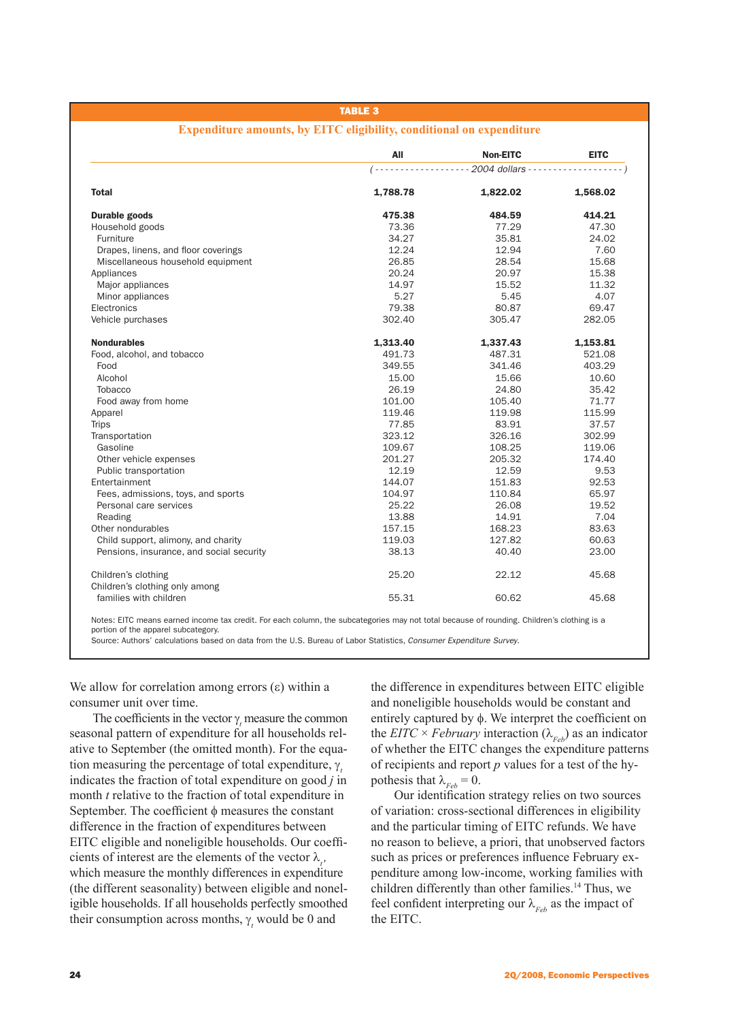### Table 3

|                                          | All      | <b>Non-EITC</b>                                                                           | <b>EITC</b> |
|------------------------------------------|----------|-------------------------------------------------------------------------------------------|-------------|
|                                          |          | $(- \cdots \cdots \cdots \cdots \cdots 2004$ dollars $\cdots \cdots \cdots \cdots \cdots$ |             |
| <b>Total</b>                             | 1,788.78 | 1,822.02                                                                                  | 1,568.02    |
| Durable goods                            | 475.38   | 484.59                                                                                    | 414.21      |
| Household goods                          | 73.36    | 77.29                                                                                     | 47.30       |
| Furniture                                | 34.27    | 35.81                                                                                     | 24.02       |
| Drapes, linens, and floor coverings      | 12.24    | 12.94                                                                                     | 7.60        |
| Miscellaneous household equipment        | 26.85    | 28.54                                                                                     | 15.68       |
| Appliances                               | 20.24    | 20.97                                                                                     | 15.38       |
| Major appliances                         | 14.97    | 15.52                                                                                     | 11.32       |
| Minor appliances                         | 5.27     | 5.45                                                                                      | 4.07        |
| Electronics                              | 79.38    | 80.87                                                                                     | 69.47       |
| Vehicle purchases                        | 302.40   | 305.47                                                                                    | 282.05      |
| <b>Nondurables</b>                       | 1,313.40 | 1,337.43                                                                                  | 1,153.81    |
| Food, alcohol, and tobacco               | 491.73   | 487.31                                                                                    | 521.08      |
| Food                                     | 349.55   | 341.46                                                                                    | 403.29      |
| Alcohol                                  | 15.00    | 15.66                                                                                     | 10.60       |
| Tobacco                                  | 26.19    | 24.80                                                                                     | 35.42       |
| Food away from home                      | 101.00   | 105.40                                                                                    | 71.77       |
| Apparel                                  | 119.46   | 119.98                                                                                    | 115.99      |
| <b>Trips</b>                             | 77.85    | 83.91                                                                                     | 37.57       |
| Transportation                           | 323.12   | 326.16                                                                                    | 302.99      |
| Gasoline                                 | 109.67   | 108.25                                                                                    | 119.06      |
| Other vehicle expenses                   | 201.27   | 205.32                                                                                    | 174.40      |
| Public transportation                    | 12.19    | 12.59                                                                                     | 9.53        |
| Entertainment                            | 144.07   | 151.83                                                                                    | 92.53       |
| Fees, admissions, toys, and sports       | 104.97   | 110.84                                                                                    | 65.97       |
| Personal care services                   | 25.22    | 26.08                                                                                     | 19.52       |
| Reading                                  | 13.88    | 14.91                                                                                     | 7.04        |
| Other nondurables                        | 157.15   | 168.23                                                                                    | 83.63       |
| Child support, alimony, and charity      | 119.03   | 127.82                                                                                    | 60.63       |
| Pensions, insurance, and social security | 38.13    | 40.40                                                                                     | 23.00       |
| Children's clothing                      | 25.20    | 22.12                                                                                     | 45.68       |
| Children's clothing only among           |          |                                                                                           |             |
| families with children                   | 55.31    | 60.62                                                                                     | 45.68       |

### **Expenditure amounts, by EITC eligibility, conditional on expenditure**

portion of the apparel subcategory.

Source: Authors' calculations based on data from the U.S. Bureau of Labor Statistics, *Consumer Expenditure Survey*.

We allow for correlation among errors  $(ε)$  within a consumer unit over time.

The coefficients in the vector  $\gamma$ <sub>t</sub> measure the common seasonal pattern of expenditure for all households relative to September (the omitted month). For the equation measuring the percentage of total expenditure, γ*<sup>t</sup>* indicates the fraction of total expenditure on good *j* in month *t* relative to the fraction of total expenditure in September. The coefficient  $\phi$  measures the constant difference in the fraction of expenditures between EITC eligible and noneligible households. Our coefficients of interest are the elements of the vector  $\lambda_i$ , which measure the monthly differences in expenditure (the different seasonality) between eligible and noneligible households. If all households perfectly smoothed their consumption across months,  $\gamma$ <sub>*t*</sub> would be 0 and

the difference in expenditures between EITC eligible and noneligible households would be constant and entirely captured by φ. We interpret the coefficient on the *EITC*  $\times$  *February* interaction ( $\lambda_{Feb}$ ) as an indicator of whether the EITC changes the expenditure patterns of recipients and report *p* values for a test of the hypothesis that  $\lambda_{Feb} = 0$ .

Our identification strategy relies on two sources of variation: cross-sectional differences in eligibility and the particular timing of EITC refunds. We have no reason to believe, a priori, that unobserved factors such as prices or preferences influence February expenditure among low-income, working families with children differently than other families.<sup>14</sup> Thus, we feel confident interpreting our  $\lambda_{Feb}$  as the impact of the EITC.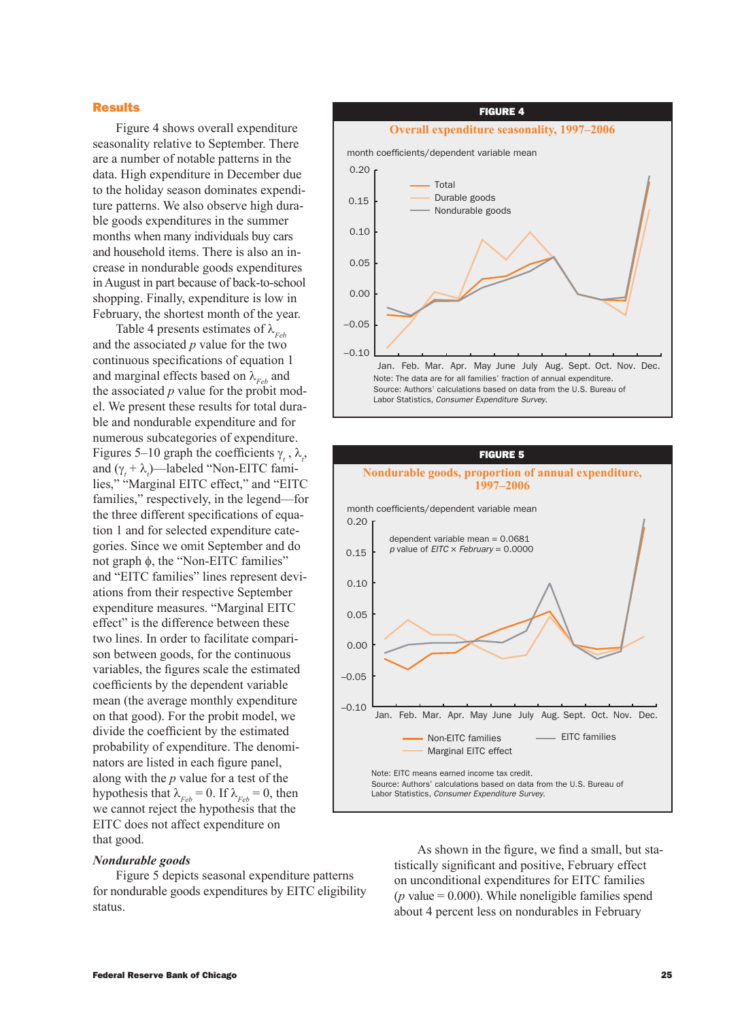### Results

Figure 4 shows overall expenditure seasonality relative to September. There are a number of notable patterns in the data. High expenditure in December due to the holiday season dominates expenditure patterns. We also observe high durable goods expenditures in the summer months when many individuals buy cars and household items. There is also an increase in nondurable goods expenditures in August in part because of back-to-school shopping. Finally, expenditure is low in February, the shortest month of the year.

Table 4 presents estimates of  $\lambda_{Fek}$ and the associated *p* value for the two continuous specifications of equation 1 and marginal effects based on  $\lambda_{Feh}$  and the associated *p* value for the probit model. We present these results for total durable and nondurable expenditure and for numerous subcategories of expenditure. Figures 5–10 graph the coefficients  $\gamma_t$ ,  $\lambda_t$ , and  $(\gamma_t + \lambda_t)$ —labeled "Non-EITC families," "Marginal EITC effect," and "EITC families," respectively, in the legend—for the three different specifications of equation 1 and for selected expenditure categories. Since we omit September and do not graph φ, the "Non-EITC families" and "EITC families" lines represent deviations from their respective September expenditure measures. "Marginal EITC effect" is the difference between these two lines. In order to facilitate comparison between goods, for the continuous variables, the figures scale the estimated coefficients by the dependent variable mean (the average monthly expenditure on that good). For the probit model, we divide the coefficient by the estimated probability of expenditure. The denominators are listed in each figure panel, along with the *p* value for a test of the hypothesis that  $\lambda_{Feh} = 0$ . If  $\lambda_{Feh} = 0$ , then we cannot reject the hypothesis that the EITC does not affect expenditure on that good.

# figure 4 **Overall expenditure seasonality, 1997–2006** month coefficients/dependent variable mean Note: The data are for all families' fraction of annual expenditure. Source: Authors' calculations based on data from the U.S. Bureau of Labor Statistics, *Consumer Expenditure Survey*. –0.10 –0.05 0.00 0.05  $0.10$ 0.15 0.20 Jan. Feb. Mar. Apr. May June July Aug. Sept. Oct. Nov. Dec. Total Durable goods Nondurable goods

# figure 5 **Nondurable goods, proportion of annual expenditure, 1997–2006** month coefficients/dependent variable mean Note: EITC means earned income tax credit. Source: Authors' calculations based on data from the U.S. Bureau of Labor Statistics, *Consumer Expenditure Survey*.  $-0.10$ –0.05 0.00 0.05 0.10 0.15 0.20 Jan. Feb. Mar. Apr. May June July Aug. Sept. Oct. Nov. Dec. Non-EITC families Marginal EITC effect - EITC families dependent variable mean = 0.0681 *p* value of *EITC* × *February* = 0.0000

### *Nondurable goods*

Figure 5 depicts seasonal expenditure patterns for nondurable goods expenditures by EITC eligibility status.

As shown in the figure, we find a small, but statistically significant and positive, February effect on unconditional expenditures for EITC families ( $p$  value  $= 0.000$ ). While noneligible families spend about 4 percent less on nondurables in February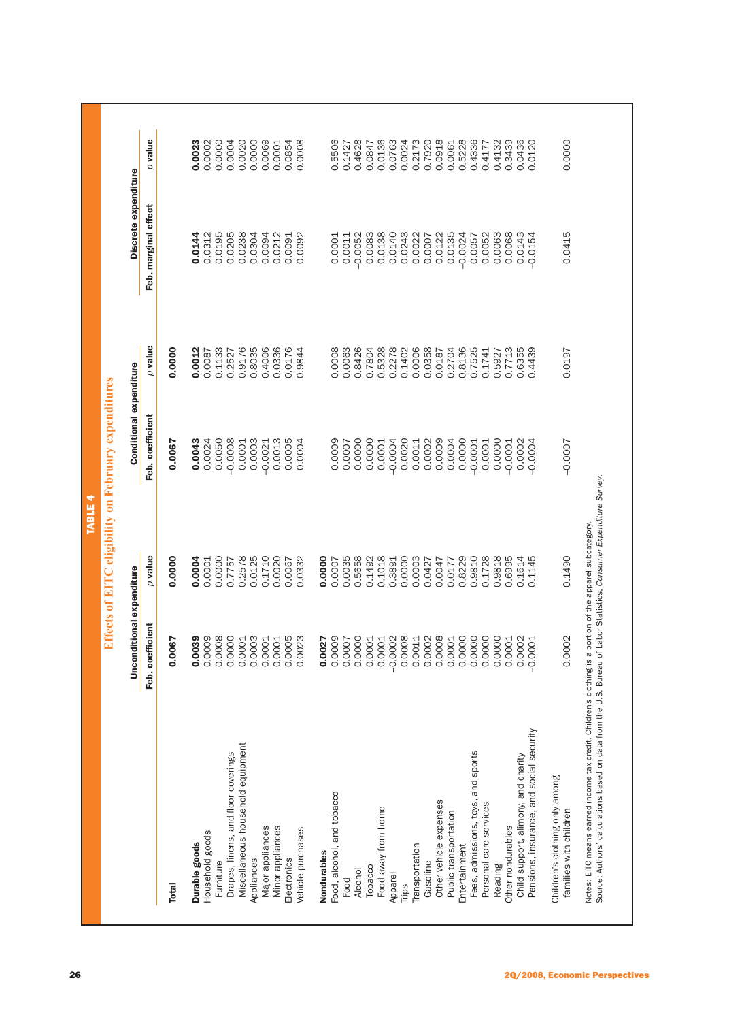| $\rho$ value<br>0.9176<br>0.8035<br>0.4006<br>0.0336<br>0.8136<br>0.7525<br>0.1133<br>0.0176<br>0.0063<br>0.8426<br>0.5328<br>0.2278<br>0.0006<br>0.0358<br>0.2704<br>0.7713<br>0.6355<br>0.4439<br>0.0000<br>0.0012<br>0.9844<br>0.0008<br>0.7804<br>0.1402<br>0.2527<br>0.0187<br>0.1741<br>0.5927<br>0.0087<br>Conditional expenditure<br>Feb. coefficient<br>0.0050<br>$-0.0008$<br>0.0003<br>0.0013<br>0.0009<br>0.0043<br>0.0024<br>0.0005<br>0.0000<br>0.0000<br>$-0.0004$<br>0.0020<br>0.0002<br>0.0004<br>0.0000<br>0.0000<br>0.0001<br>$-0.0021$<br>0.0004<br>0.0009<br>0.0011<br>0.0001<br>0.0002<br>$-0.0004$<br>0.0067<br>0.0007<br>0.0001<br>$-0.0001$<br>$-0.0001$<br>p value<br>0.2578<br>0.0125<br>0.1710<br>0.0020<br>0.0035<br>0.5658<br>0.1018<br>0.0000<br>0.1728<br>0.9818<br>0.6995<br>0.0000<br>0.0004<br>0.0000<br>0.0000<br>0.1492<br>0.0003<br>0.8229<br>0.9810<br>0.1614<br>0.1145<br>0.0332<br>0.3891<br>0.0001<br>0.7757<br>0.0067<br>0.0007<br>0.0427<br>0.0047<br>0.0177<br>Unconditional expenditure<br>b. coefficient<br>0.0039<br>0.0008<br>0.0003<br>0.0008<br>0.0002<br>0.0008<br>0.0000<br>0.0009<br>0.0000<br>0.0005<br>0.0023<br>0.0009<br>0.0000<br>$-0.0002$<br>0.0011<br>0.0000<br>0.0000<br>0.0000<br>0.0001<br>0.0001<br>0.0001<br>0.0007<br>0.0001<br>0.0001<br>0.0001<br>0.0001<br>0.0002<br>0.0067<br>0.0027<br>$-0.0001$<br>ヱ<br>Pensions, insurance, and social security<br>Miscellaneous household equipment<br>Fees, admissions, toys, and sports<br>Drapes, linens, and floor coverings<br>Child support, alimony, and charity<br>Food, alcohol, and tobacco<br>Other vehicle expenses<br>Personal care services<br>Food away from home<br>Public transportation<br>Minor appliances<br>Other nondurables<br>Major appliances<br>Vehicle purchases<br>Household goods<br>Durable goods<br>Transportation<br>Entertainment<br>Nondurables<br>Electronics<br>Appliances<br>Furniture<br>Gasoline<br>Reading<br>Tobacco<br>Alcohol<br>Apparel<br>Food<br>Trips<br><b>Total</b> | Discrete expenditure |                  |
|----------------------------------------------------------------------------------------------------------------------------------------------------------------------------------------------------------------------------------------------------------------------------------------------------------------------------------------------------------------------------------------------------------------------------------------------------------------------------------------------------------------------------------------------------------------------------------------------------------------------------------------------------------------------------------------------------------------------------------------------------------------------------------------------------------------------------------------------------------------------------------------------------------------------------------------------------------------------------------------------------------------------------------------------------------------------------------------------------------------------------------------------------------------------------------------------------------------------------------------------------------------------------------------------------------------------------------------------------------------------------------------------------------------------------------------------------------------------------------------------------------------------------------------------------------------------------------------------------------------------------------------------------------------------------------------------------------------------------------------------------------------------------------------------------------------------------------------------------------------------------------------------------------------------------------------------------------------------------------------------------------------------------------|----------------------|------------------|
|                                                                                                                                                                                                                                                                                                                                                                                                                                                                                                                                                                                                                                                                                                                                                                                                                                                                                                                                                                                                                                                                                                                                                                                                                                                                                                                                                                                                                                                                                                                                                                                                                                                                                                                                                                                                                                                                                                                                                                                                                                  | Feb. marginal effect | $p$ value        |
|                                                                                                                                                                                                                                                                                                                                                                                                                                                                                                                                                                                                                                                                                                                                                                                                                                                                                                                                                                                                                                                                                                                                                                                                                                                                                                                                                                                                                                                                                                                                                                                                                                                                                                                                                                                                                                                                                                                                                                                                                                  |                      |                  |
|                                                                                                                                                                                                                                                                                                                                                                                                                                                                                                                                                                                                                                                                                                                                                                                                                                                                                                                                                                                                                                                                                                                                                                                                                                                                                                                                                                                                                                                                                                                                                                                                                                                                                                                                                                                                                                                                                                                                                                                                                                  | 0.0144               | 0.0023           |
|                                                                                                                                                                                                                                                                                                                                                                                                                                                                                                                                                                                                                                                                                                                                                                                                                                                                                                                                                                                                                                                                                                                                                                                                                                                                                                                                                                                                                                                                                                                                                                                                                                                                                                                                                                                                                                                                                                                                                                                                                                  | 0.0312               | 0.0002           |
|                                                                                                                                                                                                                                                                                                                                                                                                                                                                                                                                                                                                                                                                                                                                                                                                                                                                                                                                                                                                                                                                                                                                                                                                                                                                                                                                                                                                                                                                                                                                                                                                                                                                                                                                                                                                                                                                                                                                                                                                                                  | 0.0195               | 0.0000           |
|                                                                                                                                                                                                                                                                                                                                                                                                                                                                                                                                                                                                                                                                                                                                                                                                                                                                                                                                                                                                                                                                                                                                                                                                                                                                                                                                                                                                                                                                                                                                                                                                                                                                                                                                                                                                                                                                                                                                                                                                                                  | 0.0205               | 0.0004           |
|                                                                                                                                                                                                                                                                                                                                                                                                                                                                                                                                                                                                                                                                                                                                                                                                                                                                                                                                                                                                                                                                                                                                                                                                                                                                                                                                                                                                                                                                                                                                                                                                                                                                                                                                                                                                                                                                                                                                                                                                                                  | 0.0238               | 0.0020           |
|                                                                                                                                                                                                                                                                                                                                                                                                                                                                                                                                                                                                                                                                                                                                                                                                                                                                                                                                                                                                                                                                                                                                                                                                                                                                                                                                                                                                                                                                                                                                                                                                                                                                                                                                                                                                                                                                                                                                                                                                                                  | 0.0304               | 0.0000           |
|                                                                                                                                                                                                                                                                                                                                                                                                                                                                                                                                                                                                                                                                                                                                                                                                                                                                                                                                                                                                                                                                                                                                                                                                                                                                                                                                                                                                                                                                                                                                                                                                                                                                                                                                                                                                                                                                                                                                                                                                                                  | 0.0094               | 0.0069           |
|                                                                                                                                                                                                                                                                                                                                                                                                                                                                                                                                                                                                                                                                                                                                                                                                                                                                                                                                                                                                                                                                                                                                                                                                                                                                                                                                                                                                                                                                                                                                                                                                                                                                                                                                                                                                                                                                                                                                                                                                                                  | 0.0212               | 0.0001           |
|                                                                                                                                                                                                                                                                                                                                                                                                                                                                                                                                                                                                                                                                                                                                                                                                                                                                                                                                                                                                                                                                                                                                                                                                                                                                                                                                                                                                                                                                                                                                                                                                                                                                                                                                                                                                                                                                                                                                                                                                                                  | 0.0091               | 0.0854           |
|                                                                                                                                                                                                                                                                                                                                                                                                                                                                                                                                                                                                                                                                                                                                                                                                                                                                                                                                                                                                                                                                                                                                                                                                                                                                                                                                                                                                                                                                                                                                                                                                                                                                                                                                                                                                                                                                                                                                                                                                                                  | 0.0092               | 0.0008           |
|                                                                                                                                                                                                                                                                                                                                                                                                                                                                                                                                                                                                                                                                                                                                                                                                                                                                                                                                                                                                                                                                                                                                                                                                                                                                                                                                                                                                                                                                                                                                                                                                                                                                                                                                                                                                                                                                                                                                                                                                                                  |                      |                  |
|                                                                                                                                                                                                                                                                                                                                                                                                                                                                                                                                                                                                                                                                                                                                                                                                                                                                                                                                                                                                                                                                                                                                                                                                                                                                                                                                                                                                                                                                                                                                                                                                                                                                                                                                                                                                                                                                                                                                                                                                                                  | 0.0001               | 0.5506           |
|                                                                                                                                                                                                                                                                                                                                                                                                                                                                                                                                                                                                                                                                                                                                                                                                                                                                                                                                                                                                                                                                                                                                                                                                                                                                                                                                                                                                                                                                                                                                                                                                                                                                                                                                                                                                                                                                                                                                                                                                                                  | 0.0011               | 0.1427           |
|                                                                                                                                                                                                                                                                                                                                                                                                                                                                                                                                                                                                                                                                                                                                                                                                                                                                                                                                                                                                                                                                                                                                                                                                                                                                                                                                                                                                                                                                                                                                                                                                                                                                                                                                                                                                                                                                                                                                                                                                                                  | $-0.0052$            | 0.4628           |
|                                                                                                                                                                                                                                                                                                                                                                                                                                                                                                                                                                                                                                                                                                                                                                                                                                                                                                                                                                                                                                                                                                                                                                                                                                                                                                                                                                                                                                                                                                                                                                                                                                                                                                                                                                                                                                                                                                                                                                                                                                  | 0.0083               | 0.0847           |
|                                                                                                                                                                                                                                                                                                                                                                                                                                                                                                                                                                                                                                                                                                                                                                                                                                                                                                                                                                                                                                                                                                                                                                                                                                                                                                                                                                                                                                                                                                                                                                                                                                                                                                                                                                                                                                                                                                                                                                                                                                  | 0.0138               | 0.0136           |
|                                                                                                                                                                                                                                                                                                                                                                                                                                                                                                                                                                                                                                                                                                                                                                                                                                                                                                                                                                                                                                                                                                                                                                                                                                                                                                                                                                                                                                                                                                                                                                                                                                                                                                                                                                                                                                                                                                                                                                                                                                  | 0.0140               | 0.0763           |
|                                                                                                                                                                                                                                                                                                                                                                                                                                                                                                                                                                                                                                                                                                                                                                                                                                                                                                                                                                                                                                                                                                                                                                                                                                                                                                                                                                                                                                                                                                                                                                                                                                                                                                                                                                                                                                                                                                                                                                                                                                  | 0.0243               | 0.0024           |
|                                                                                                                                                                                                                                                                                                                                                                                                                                                                                                                                                                                                                                                                                                                                                                                                                                                                                                                                                                                                                                                                                                                                                                                                                                                                                                                                                                                                                                                                                                                                                                                                                                                                                                                                                                                                                                                                                                                                                                                                                                  | 0.0022               | 0.2173           |
|                                                                                                                                                                                                                                                                                                                                                                                                                                                                                                                                                                                                                                                                                                                                                                                                                                                                                                                                                                                                                                                                                                                                                                                                                                                                                                                                                                                                                                                                                                                                                                                                                                                                                                                                                                                                                                                                                                                                                                                                                                  | 0.0007               | 0.7920           |
|                                                                                                                                                                                                                                                                                                                                                                                                                                                                                                                                                                                                                                                                                                                                                                                                                                                                                                                                                                                                                                                                                                                                                                                                                                                                                                                                                                                                                                                                                                                                                                                                                                                                                                                                                                                                                                                                                                                                                                                                                                  | 0.0122               | 0.0918           |
|                                                                                                                                                                                                                                                                                                                                                                                                                                                                                                                                                                                                                                                                                                                                                                                                                                                                                                                                                                                                                                                                                                                                                                                                                                                                                                                                                                                                                                                                                                                                                                                                                                                                                                                                                                                                                                                                                                                                                                                                                                  | 0.0135               | 0.0061           |
|                                                                                                                                                                                                                                                                                                                                                                                                                                                                                                                                                                                                                                                                                                                                                                                                                                                                                                                                                                                                                                                                                                                                                                                                                                                                                                                                                                                                                                                                                                                                                                                                                                                                                                                                                                                                                                                                                                                                                                                                                                  | $-0.0024$            | 0.5228           |
|                                                                                                                                                                                                                                                                                                                                                                                                                                                                                                                                                                                                                                                                                                                                                                                                                                                                                                                                                                                                                                                                                                                                                                                                                                                                                                                                                                                                                                                                                                                                                                                                                                                                                                                                                                                                                                                                                                                                                                                                                                  | 0.0057               | 0.4336           |
|                                                                                                                                                                                                                                                                                                                                                                                                                                                                                                                                                                                                                                                                                                                                                                                                                                                                                                                                                                                                                                                                                                                                                                                                                                                                                                                                                                                                                                                                                                                                                                                                                                                                                                                                                                                                                                                                                                                                                                                                                                  | 0.0063<br>0.0052     | 0.4132<br>0.4177 |
|                                                                                                                                                                                                                                                                                                                                                                                                                                                                                                                                                                                                                                                                                                                                                                                                                                                                                                                                                                                                                                                                                                                                                                                                                                                                                                                                                                                                                                                                                                                                                                                                                                                                                                                                                                                                                                                                                                                                                                                                                                  | 0.0068               | 0.3439           |
|                                                                                                                                                                                                                                                                                                                                                                                                                                                                                                                                                                                                                                                                                                                                                                                                                                                                                                                                                                                                                                                                                                                                                                                                                                                                                                                                                                                                                                                                                                                                                                                                                                                                                                                                                                                                                                                                                                                                                                                                                                  | 0.0143               | 0.0436           |
|                                                                                                                                                                                                                                                                                                                                                                                                                                                                                                                                                                                                                                                                                                                                                                                                                                                                                                                                                                                                                                                                                                                                                                                                                                                                                                                                                                                                                                                                                                                                                                                                                                                                                                                                                                                                                                                                                                                                                                                                                                  | $-0.0154$            | 0.0120           |
| 0.0197<br>$-0.0007$<br>0.1490<br>0.0002<br>Children's clothing only among<br>families with children                                                                                                                                                                                                                                                                                                                                                                                                                                                                                                                                                                                                                                                                                                                                                                                                                                                                                                                                                                                                                                                                                                                                                                                                                                                                                                                                                                                                                                                                                                                                                                                                                                                                                                                                                                                                                                                                                                                              | 0.0415               | 0.0000           |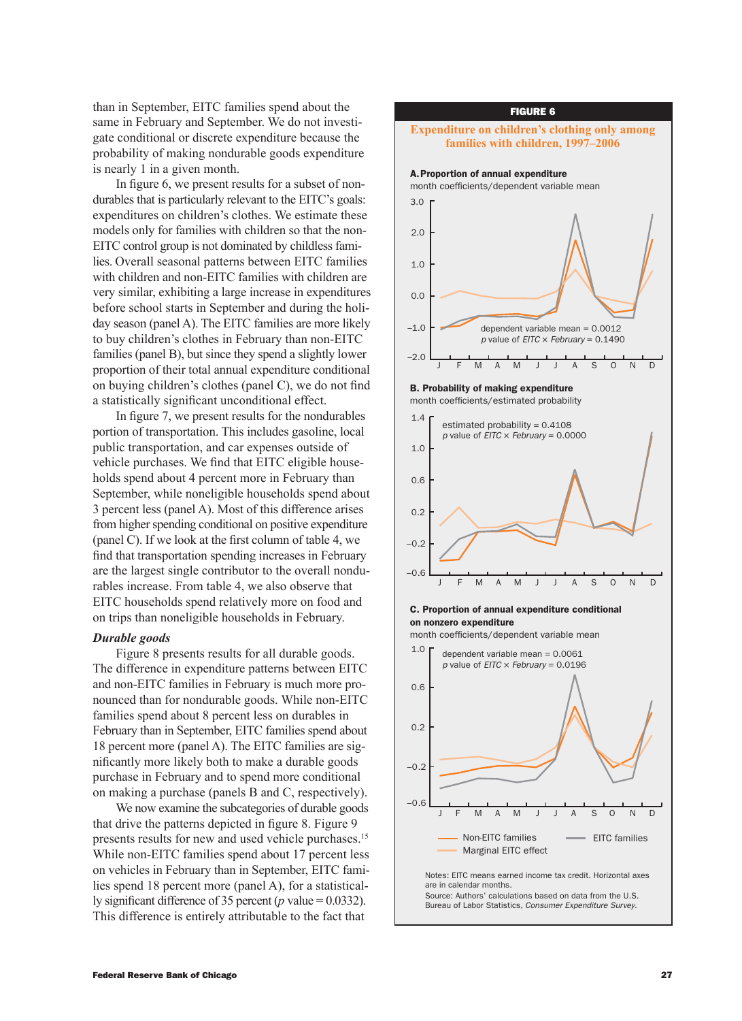than in September, EITC families spend about the same in February and September. We do not investigate conditional or discrete expenditure because the probability of making nondurable goods expenditure is nearly 1 in a given month.

In figure 6, we present results for a subset of nondurables that is particularly relevant to the EITC's goals: expenditures on children's clothes. We estimate these models only for families with children so that the non-EITC control group is not dominated by childless families. Overall seasonal patterns between EITC families with children and non-EITC families with children are very similar, exhibiting a large increase in expenditures before school starts in September and during the holiday season (panel A). The EITC families are more likely to buy children's clothes in February than non-EITC families (panel B), but since they spend a slightly lower proportion of their total annual expenditure conditional on buying children's clothes (panel C), we do not find a statistically significant unconditional effect.

In figure 7, we present results for the nondurables portion of transportation. This includes gasoline, local public transportation, and car expenses outside of vehicle purchases. We find that EITC eligible households spend about 4 percent more in February than September, while noneligible households spend about 3 percent less (panel A). Most of this difference arises from higher spending conditional on positive expenditure (panel C). If we look at the first column of table 4, we find that transportation spending increases in February are the largest single contributor to the overall nondurables increase. From table 4, we also observe that EITC households spend relatively more on food and on trips than noneligible households in February.

# *Durable goods*

Figure 8 presents results for all durable goods. The difference in expenditure patterns between EITC and non-EITC families in February is much more pronounced than for nondurable goods. While non-EITC families spend about 8 percent less on durables in February than in September, EITC families spend about 18 percent more (panel A). The EITC families are significantly more likely both to make a durable goods purchase in February and to spend more conditional on making a purchase (panels B and C, respectively).

We now examine the subcategories of durable goods that drive the patterns depicted in figure 8. Figure 9 presents results for new and used vehicle purchases.15 While non-EITC families spend about 17 percent less on vehicles in February than in September, EITC families spend 18 percent more (panel A), for a statistically significant difference of 35 percent (*p* value = 0.0332). This difference is entirely attributable to the fact that

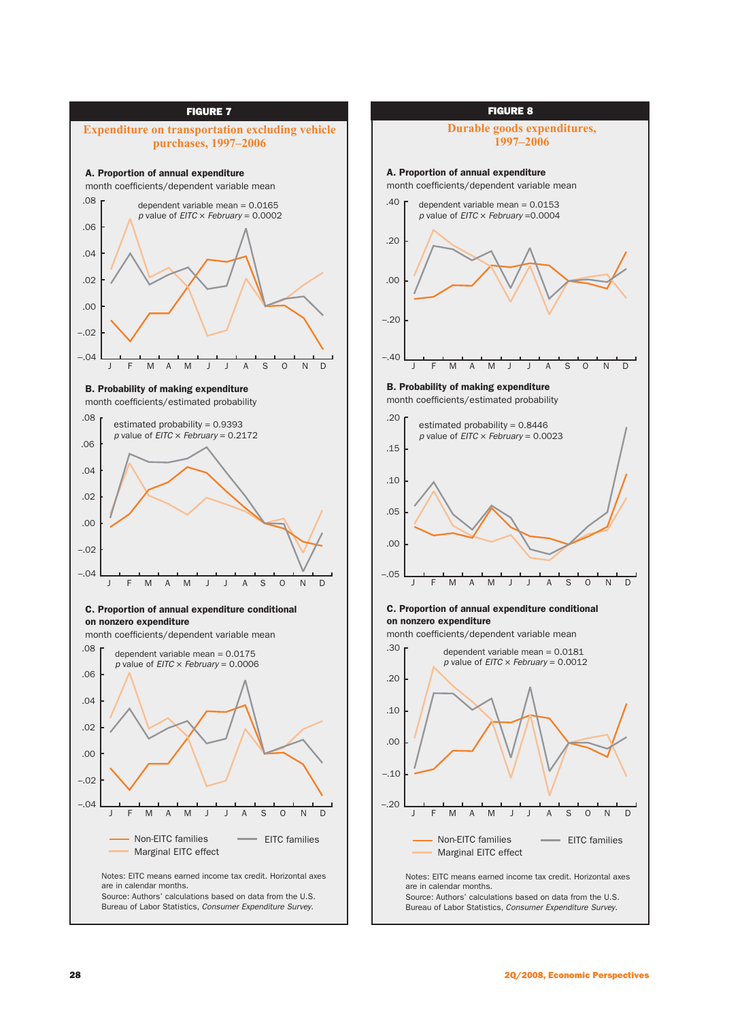

Notes: EITC means earned income tax credit. Horizontal axes are in calendar months. Source: Authors' calculations based on data from the U.S. Bureau of Labor Statistics, *Consumer Expenditure Survey*.

### figure 8

### **Durable goods expenditures, 1997–2006**

A. Proportion of annual expenditure month coefficients/dependent variable mean



Notes: EITC means earned income tax credit. Horizontal axes are in calendar months. Source: Authors' calculations based on data from the U.S. Bureau of Labor Statistics, *Consumer Expenditure Survey*. Non-EITC families Marginal EITC effect EITC families J F M A M J J A S O N D

–.20

 $-10$ 

.00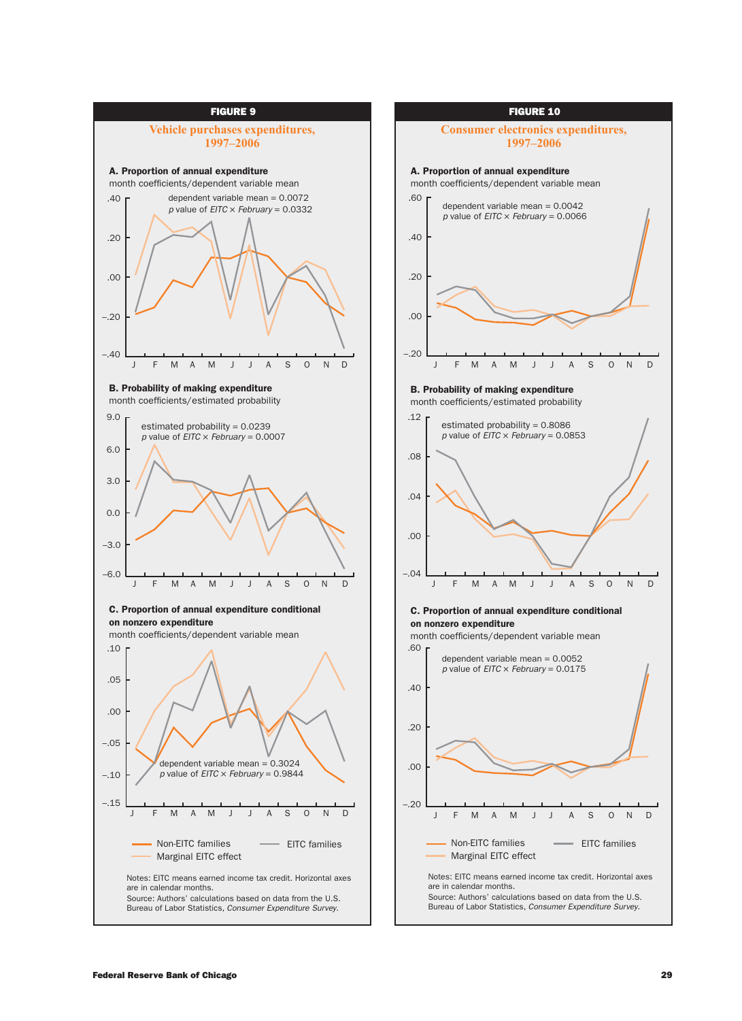

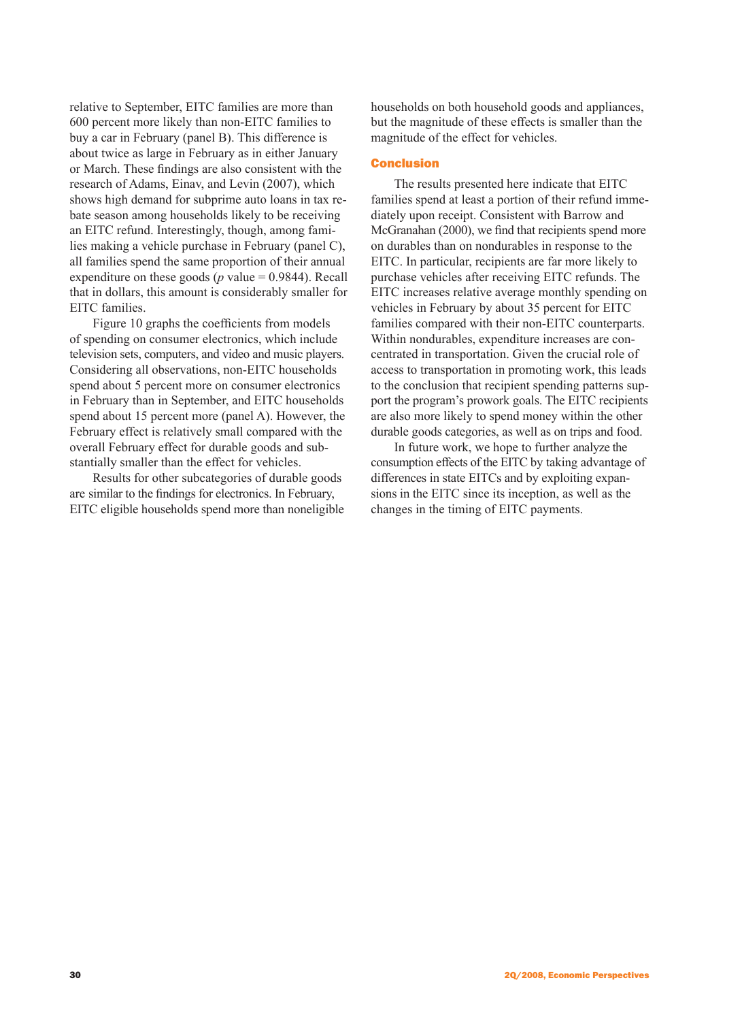relative to September, EITC families are more than 600 percent more likely than non-EITC families to buy a car in February (panel B). This difference is about twice as large in February as in either January or March. These findings are also consistent with the research of Adams, Einav, and Levin (2007), which shows high demand for subprime auto loans in tax rebate season among households likely to be receiving an EITC refund. Interestingly, though, among families making a vehicle purchase in February (panel C), all families spend the same proportion of their annual expenditure on these goods ( $p$  value = 0.9844). Recall that in dollars, this amount is considerably smaller for EITC families.

Figure 10 graphs the coefficients from models of spending on consumer electronics, which include television sets, computers, and video and music players. Considering all observations, non-EITC households spend about 5 percent more on consumer electronics in February than in September, and EITC households spend about 15 percent more (panel A). However, the February effect is relatively small compared with the overall February effect for durable goods and substantially smaller than the effect for vehicles.

Results for other subcategories of durable goods are similar to the findings for electronics. In February, EITC eligible households spend more than noneligible households on both household goods and appliances, but the magnitude of these effects is smaller than the magnitude of the effect for vehicles.

# Conclusion

The results presented here indicate that EITC families spend at least a portion of their refund immediately upon receipt. Consistent with Barrow and McGranahan (2000), we find that recipients spend more on durables than on nondurables in response to the EITC. In particular, recipients are far more likely to purchase vehicles after receiving EITC refunds. The EITC increases relative average monthly spending on vehicles in February by about 35 percent for EITC families compared with their non-EITC counterparts. Within nondurables, expenditure increases are concentrated in transportation. Given the crucial role of access to transportation in promoting work, this leads to the conclusion that recipient spending patterns support the program's prowork goals. The EITC recipients are also more likely to spend money within the other durable goods categories, as well as on trips and food.

In future work, we hope to further analyze the consumption effects of the EITC by taking advantage of differences in state EITCs and by exploiting expansions in the EITC since its inception, as well as the changes in the timing of EITC payments.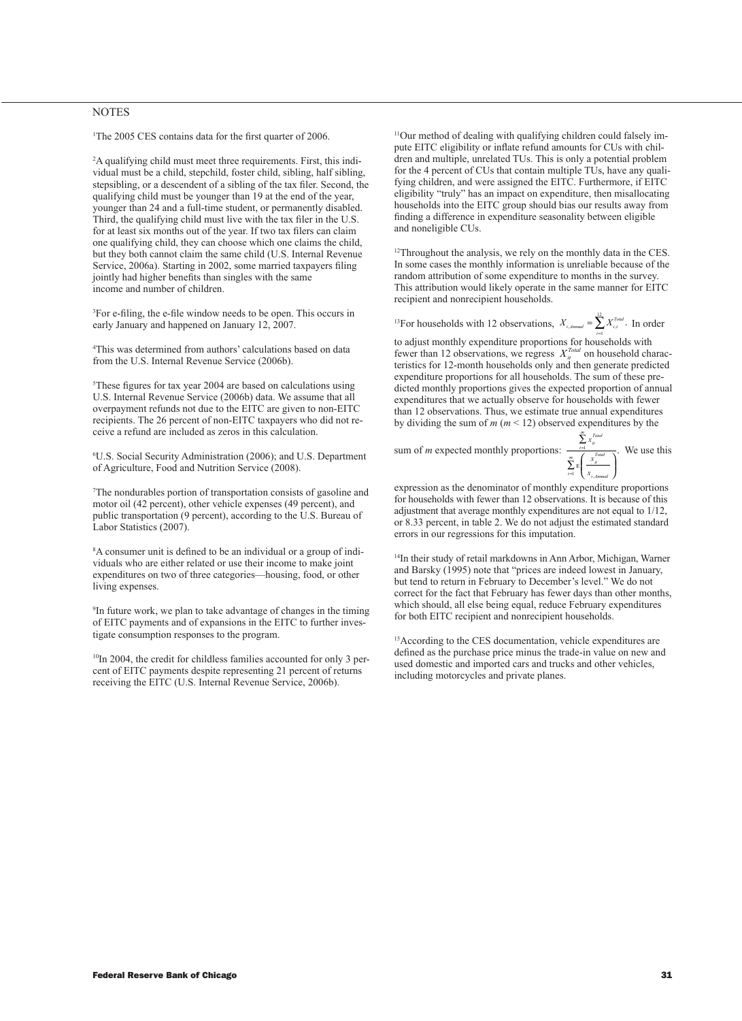### NOTES

<sup>1</sup>The 2005 CES contains data for the first quarter of 2006.

2 A qualifying child must meet three requirements. First, this individual must be a child, stepchild, foster child, sibling, half sibling, stepsibling, or a descendent of a sibling of the tax filer. Second, the qualifying child must be younger than 19 at the end of the year, younger than 24 and a full-time student, or permanently disabled. Third, the qualifying child must live with the tax filer in the U.S. for at least six months out of the year. If two tax filers can claim one qualifying child, they can choose which one claims the child, but they both cannot claim the same child (U.S. Internal Revenue Service, 2006a). Starting in 2002, some married taxpayers filing jointly had higher benefits than singles with the same income and number of children.

3 For e-filing, the e-file window needs to be open. This occurs in early January and happened on January 12, 2007.

4 This was determined from authors' calculations based on data from the U.S. Internal Revenue Service (2006b).

5 These figures for tax year 2004 are based on calculations using U.S. Internal Revenue Service (2006b) data. We assume that all overpayment refunds not due to the EITC are given to non-EITC recipients. The 26 percent of non-EITC taxpayers who did not receive a refund are included as zeros in this calculation.

6 U.S. Social Security Administration (2006); and U.S. Department of Agriculture, Food and Nutrition Service (2008).

7 The nondurables portion of transportation consists of gasoline and motor oil (42 percent), other vehicle expenses (49 percent), and public transportation (9 percent), according to the U.S. Bureau of Labor Statistics (2007).

8 A consumer unit is defined to be an individual or a group of individuals who are either related or use their income to make joint expenditures on two of three categories—housing, food, or other living expenses.

9 In future work, we plan to take advantage of changes in the timing of EITC payments and of expansions in the EITC to further investigate consumption responses to the program.

<sup>10</sup>In 2004, the credit for childless families accounted for only 3 percent of EITC payments despite representing 21 percent of returns receiving the EITC (U.S. Internal Revenue Service, 2006b).

11Our method of dealing with qualifying children could falsely impute EITC eligibility or inflate refund amounts for CUs with children and multiple, unrelated TUs. This is only a potential problem for the 4 percent of CUs that contain multiple TUs, have any qualifying children, and were assigned the EITC. Furthermore, if EITC eligibility "truly" has an impact on expenditure, then misallocating households into the EITC group should bias our results away from finding a difference in expenditure seasonality between eligible and noneligible CUs.

<sup>12</sup>Throughout the analysis, we rely on the monthly data in the CES. In some cases the monthly information is unreliable because of the random attribution of some expenditure to months in the survey. This attribution would likely operate in the same manner for EITC recipient and nonrecipient households.

<sup>13</sup>For households with 12 observations,  $X_{i, \text{Annual}} = \sum_{i=1}^{12} X_{i,i}^{Total}$ . In order

to adjust monthly expenditure proportions for households with fewer than 12 observations, we regress  $X_i^{Total}$  on household characteristics for 12-month households only and then generate predicted expenditure proportions for all households. The sum of these predicted monthly proportions gives the expected proportion of annual expenditures that we actually observe for households with fewer than 12 observations. Thus, we estimate true annual expenditures by dividing the sum of  $m (m \le 12)$  observed expenditures by the

sum of *m* expected monthly proportions:  $\frac{\sum x}{\sum x}$ 

*X X*  $\sum_{t=1}^{\infty}$  if *Total it Total*  $\iota = 1$   $\bigcup X_i$  *Annual*  $\sum_{t=1}^{m} \mathbf{E} \left( \frac{X_{it}^{total}}{X_{i,Annual}} \right)$ , . We use this

*m*

∑ ſ

1 ί<br>Ε

*m* = =

expression as the denominator of monthly expenditure proportions for households with fewer than 12 observations. It is because of this adjustment that average monthly expenditures are not equal to 1/12, or 8.33 percent, in table 2. We do not adjust the estimated standard errors in our regressions for this imputation.

14In their study of retail markdowns in Ann Arbor, Michigan, Warner and Barsky (1995) note that "prices are indeed lowest in January, but tend to return in February to December's level." We do not correct for the fact that February has fewer days than other months, which should, all else being equal, reduce February expenditures for both EITC recipient and nonrecipient households.

<sup>15</sup>According to the CES documentation, vehicle expenditures are defined as the purchase price minus the trade-in value on new and used domestic and imported cars and trucks and other vehicles, including motorcycles and private planes.